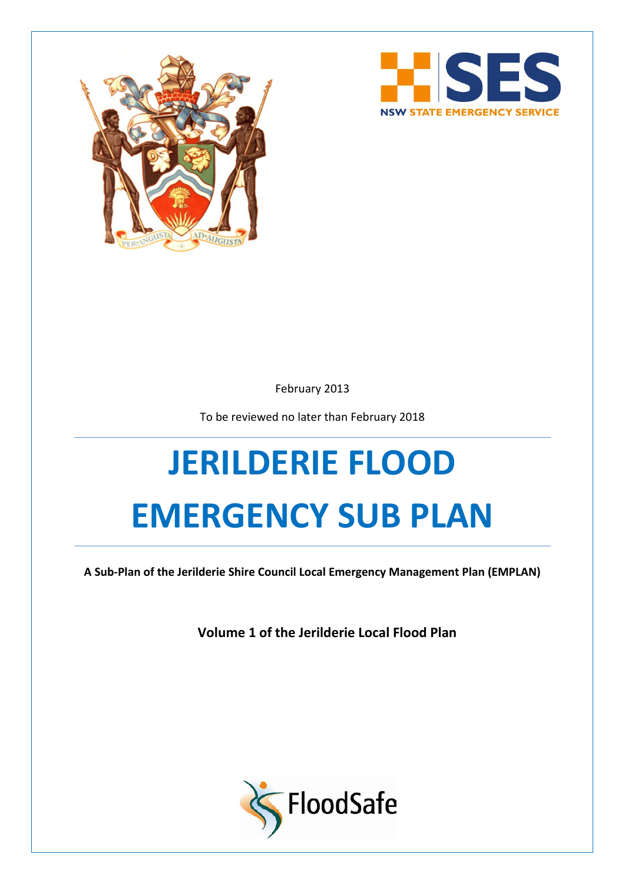



February 2013

To be reviewed no later than February 2018

# **JERILDERIE FLOOD EMERGENCY SUB PLAN**

**A Sub-Plan of the Jerilderie Shire Council Local Emergency Management Plan (EMPLAN)**

**Volume 1 of the Jerilderie Local Flood Plan**

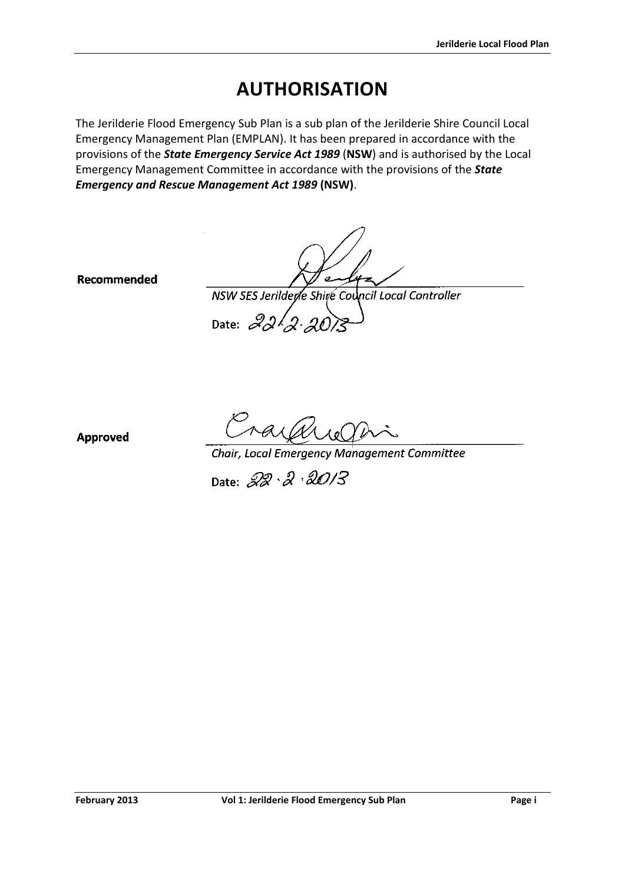# **AUTHORISATION**

<span id="page-1-0"></span>The Jerilderie Flood Emergency Sub Plan is a sub plan of the Jerilderie Shire Council Local Emergency Management Plan (EMPLAN). It has been prepared in accordance with the provisions of the *State Emergency Service Act 1989* (**NSW**) and is authorised by the Local Emergency Management Committee in accordance with the provisions of the *State Emergency and Rescue Management Act 1989* **(NSW)**.

Recommended

سے

NSW SES Jerilderle Shire Council Local Controller Date:  $22/2.20$ 

**Approved** 

Cray and Check China<br>Chair, Local Emergency Management Committee

Date: 22. 2. 2013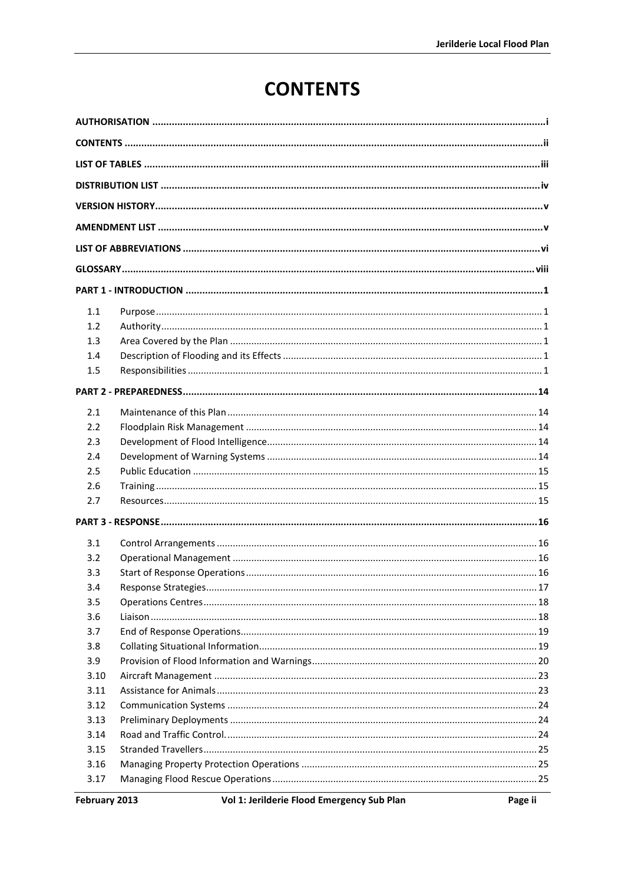# **CONTENTS**

<span id="page-2-0"></span>

| 1.1  |  |  |
|------|--|--|
| 1.2  |  |  |
| 1.3  |  |  |
| 1.4  |  |  |
| 1.5  |  |  |
|      |  |  |
| 2.1  |  |  |
| 2.2  |  |  |
| 2.3  |  |  |
| 2.4  |  |  |
| 2.5  |  |  |
| 2.6  |  |  |
| 2.7  |  |  |
|      |  |  |
| 3.1  |  |  |
| 3.2  |  |  |
| 3.3  |  |  |
| 3.4  |  |  |
| 3.5  |  |  |
| 3.6  |  |  |
| 3.7  |  |  |
| 3.8  |  |  |
| 3.9  |  |  |
| 3.10 |  |  |
| 3.11 |  |  |
| 3.12 |  |  |
| 3.13 |  |  |
| 3.14 |  |  |
| 3.15 |  |  |
| 3.16 |  |  |
| 3.17 |  |  |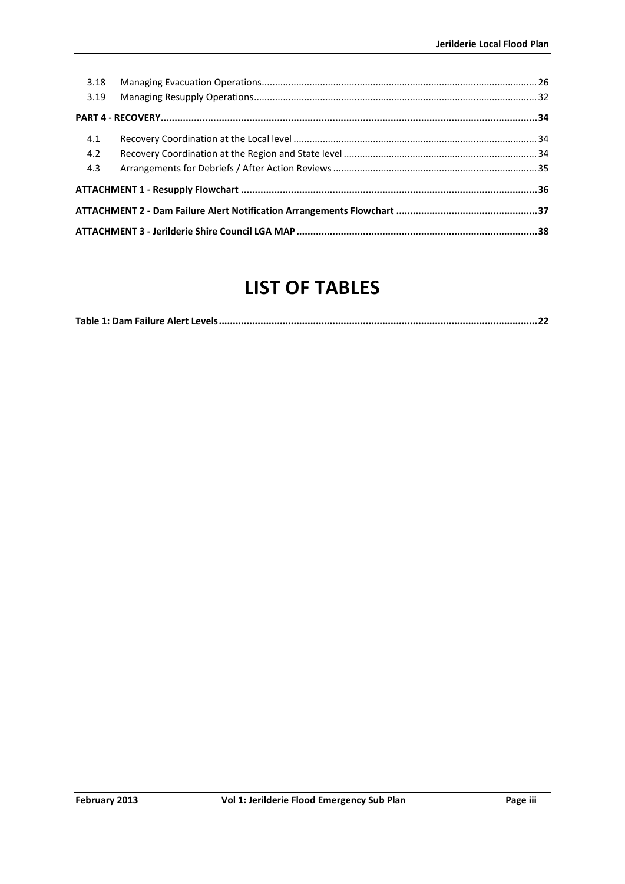| 3.18 |  |  |
|------|--|--|
| 3.19 |  |  |
|      |  |  |
| 4.1  |  |  |
| 4.2  |  |  |
| 4.3  |  |  |
|      |  |  |
|      |  |  |
|      |  |  |

# **LIST OF TABLES**

<span id="page-3-0"></span>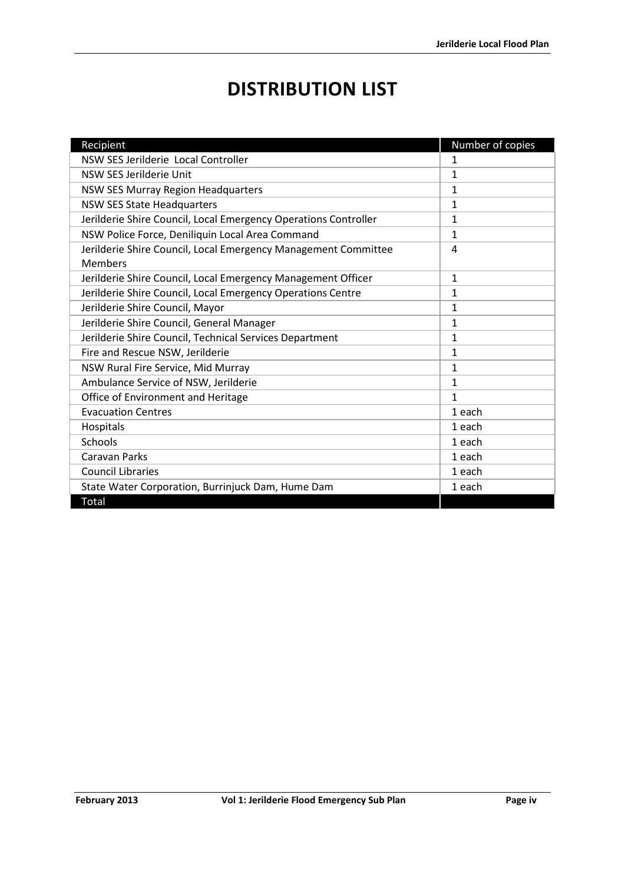# **DISTRIBUTION LIST**

<span id="page-4-0"></span>

| Recipient                                                       | Number of copies |
|-----------------------------------------------------------------|------------------|
| NSW SES Jerilderie Local Controller                             | 1                |
| NSW SES Jerilderie Unit                                         | $\mathbf{1}$     |
| NSW SES Murray Region Headquarters                              | 1                |
| <b>NSW SES State Headquarters</b>                               | 1                |
| Jerilderie Shire Council, Local Emergency Operations Controller | $\mathbf{1}$     |
| NSW Police Force, Deniliquin Local Area Command                 | 1                |
| Jerilderie Shire Council, Local Emergency Management Committee  | 4                |
| Members                                                         |                  |
| Jerilderie Shire Council, Local Emergency Management Officer    | $\mathbf{1}$     |
| Jerilderie Shire Council, Local Emergency Operations Centre     | 1                |
| Jerilderie Shire Council, Mayor                                 | $\mathbf{1}$     |
| Jerilderie Shire Council, General Manager                       | 1                |
| Jerilderie Shire Council, Technical Services Department         | 1                |
| Fire and Rescue NSW, Jerilderie                                 | 1                |
| NSW Rural Fire Service, Mid Murray                              | 1                |
| Ambulance Service of NSW, Jerilderie                            | 1                |
| Office of Environment and Heritage                              | 1                |
| <b>Evacuation Centres</b>                                       | 1 each           |
| Hospitals                                                       | 1 each           |
| Schools                                                         | 1 each           |
| <b>Caravan Parks</b>                                            | 1 each           |
| <b>Council Libraries</b>                                        | 1 each           |
| State Water Corporation, Burrinjuck Dam, Hume Dam               | 1 each           |
| Total                                                           |                  |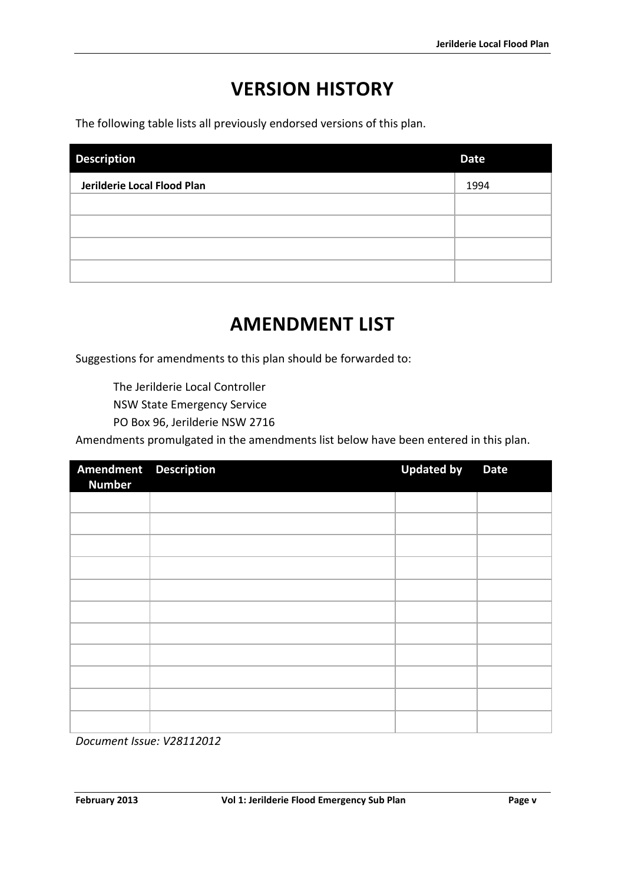# **VERSION HISTORY**

<span id="page-5-0"></span>The following table lists all previously endorsed versions of this plan.

| <b>Description</b>          | <b>Date</b> |
|-----------------------------|-------------|
| Jerilderie Local Flood Plan | 1994        |
|                             |             |
|                             |             |
|                             |             |
|                             |             |

# **AMENDMENT LIST**

<span id="page-5-1"></span>Suggestions for amendments to this plan should be forwarded to:

The Jerilderie Local Controller

NSW State Emergency Service

PO Box 96, Jerilderie NSW 2716

Amendments promulgated in the amendments list below have been entered in this plan.

| Amendment Description<br><b>Number</b> | <b>Updated by</b> | <b>Date</b> |
|----------------------------------------|-------------------|-------------|
|                                        |                   |             |
|                                        |                   |             |
|                                        |                   |             |
|                                        |                   |             |
|                                        |                   |             |
|                                        |                   |             |
|                                        |                   |             |
|                                        |                   |             |
|                                        |                   |             |
|                                        |                   |             |
|                                        |                   |             |

*Document Issue: V28112012*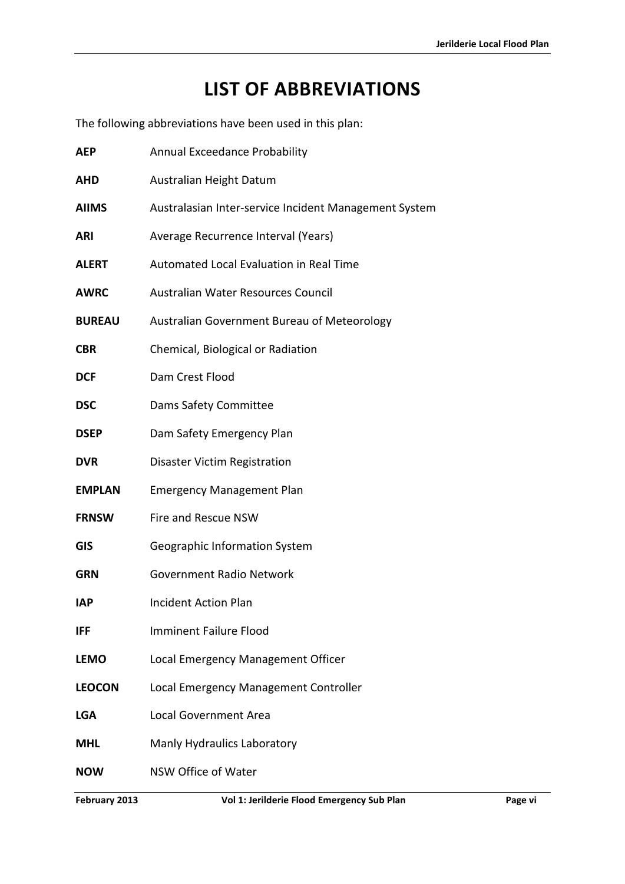# **LIST OF ABBREVIATIONS**

<span id="page-6-0"></span>The following abbreviations have been used in this plan:

| <b>AEP</b>    | Annual Exceedance Probability                         |  |
|---------------|-------------------------------------------------------|--|
| <b>AHD</b>    | Australian Height Datum                               |  |
| <b>AIIMS</b>  | Australasian Inter-service Incident Management System |  |
| <b>ARI</b>    | Average Recurrence Interval (Years)                   |  |
| <b>ALERT</b>  | Automated Local Evaluation in Real Time               |  |
| <b>AWRC</b>   | Australian Water Resources Council                    |  |
| <b>BUREAU</b> | Australian Government Bureau of Meteorology           |  |
| <b>CBR</b>    | Chemical, Biological or Radiation                     |  |
| <b>DCF</b>    | Dam Crest Flood                                       |  |
| <b>DSC</b>    | Dams Safety Committee                                 |  |
| <b>DSEP</b>   | Dam Safety Emergency Plan                             |  |
| <b>DVR</b>    | Disaster Victim Registration                          |  |
| <b>EMPLAN</b> | <b>Emergency Management Plan</b>                      |  |
| <b>FRNSW</b>  | Fire and Rescue NSW                                   |  |
| <b>GIS</b>    | Geographic Information System                         |  |
| <b>GRN</b>    | <b>Government Radio Network</b>                       |  |
| <b>IAP</b>    | <b>Incident Action Plan</b>                           |  |
| IFF           | <b>Imminent Failure Flood</b>                         |  |
| <b>LEMO</b>   | Local Emergency Management Officer                    |  |
| <b>LEOCON</b> | Local Emergency Management Controller                 |  |
| <b>LGA</b>    | <b>Local Government Area</b>                          |  |
| <b>MHL</b>    | Manly Hydraulics Laboratory                           |  |
| <b>NOW</b>    | NSW Office of Water                                   |  |
|               |                                                       |  |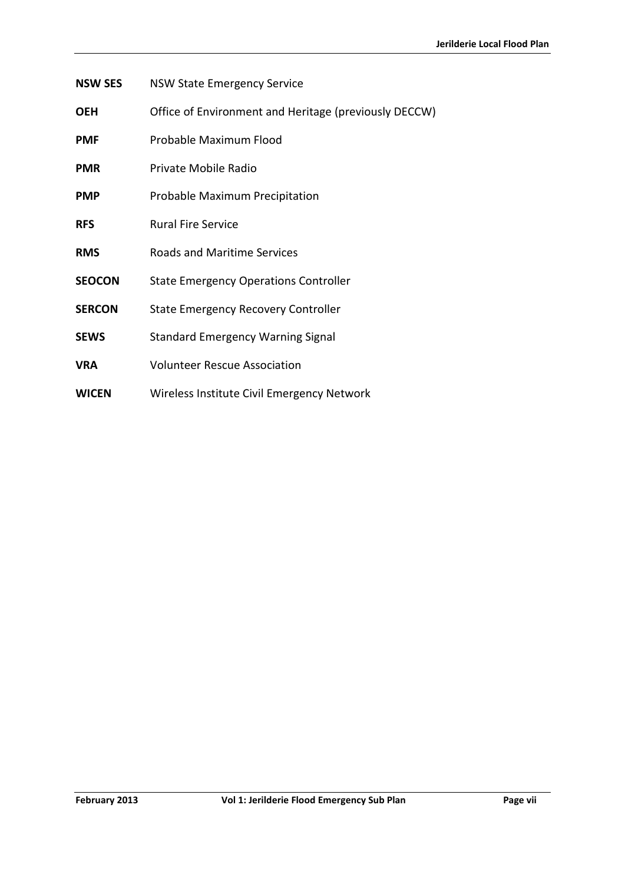- **NSW SES** NSW State Emergency Service
- **OEH** Office of Environment and Heritage (previously DECCW)
- **PMF** Probable Maximum Flood
- **PMR** Private Mobile Radio
- **PMP** Probable Maximum Precipitation
- **RFS** Rural Fire Service
- **RMS** Roads and Maritime Services
- **SEOCON** State Emergency Operations Controller
- **SERCON** State Emergency Recovery Controller
- **SEWS** Standard Emergency Warning Signal
- **VRA** Volunteer Rescue Association
- **WICEN** Wireless Institute Civil Emergency Network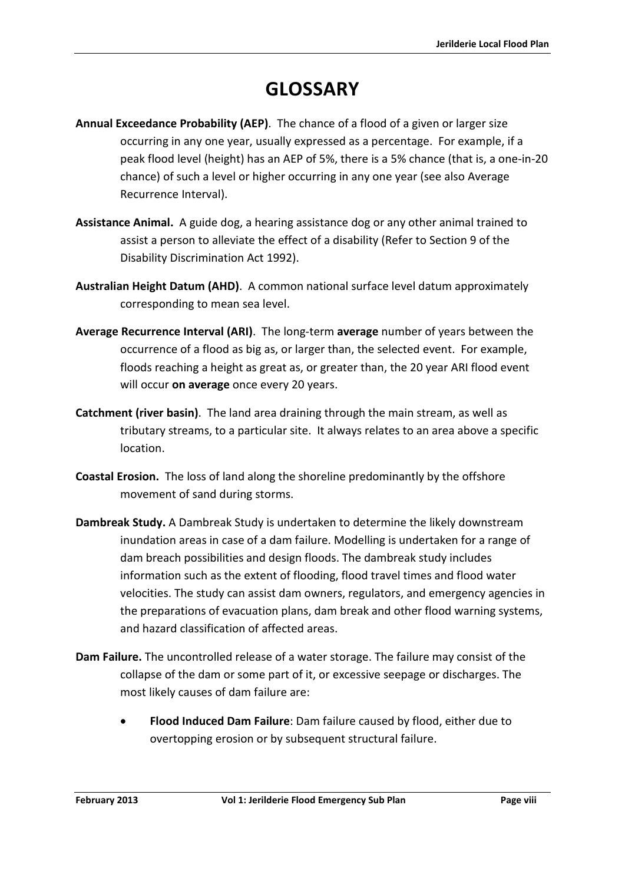# **GLOSSARY**

- <span id="page-8-0"></span>**Annual Exceedance Probability (AEP)**. The chance of a flood of a given or larger size occurring in any one year, usually expressed as a percentage. For example, if a peak flood level (height) has an AEP of 5%, there is a 5% chance (that is, a one-in-20 chance) of such a level or higher occurring in any one year (see also Average Recurrence Interval).
- **Assistance Animal.** A guide dog, a hearing assistance dog or any other animal trained to assist a person to alleviate the effect of a disability (Refer to Section 9 of the Disability Discrimination Act 1992).
- **Australian Height Datum (AHD)**. A common national surface level datum approximately corresponding to mean sea level.
- **Average Recurrence Interval (ARI)**. The long-term **average** number of years between the occurrence of a flood as big as, or larger than, the selected event. For example, floods reaching a height as great as, or greater than, the 20 year ARI flood event will occur **on average** once every 20 years.
- **Catchment (river basin)**. The land area draining through the main stream, as well as tributary streams, to a particular site. It always relates to an area above a specific location.
- **Coastal Erosion.** The loss of land along the shoreline predominantly by the offshore movement of sand during storms.
- **Dambreak Study.** A Dambreak Study is undertaken to determine the likely downstream inundation areas in case of a dam failure. Modelling is undertaken for a range of dam breach possibilities and design floods. The dambreak study includes information such as the extent of flooding, flood travel times and flood water velocities. The study can assist dam owners, regulators, and emergency agencies in the preparations of evacuation plans, dam break and other flood warning systems, and hazard classification of affected areas.
- **Dam Failure.** The uncontrolled release of a water storage. The failure may consist of the collapse of the dam or some part of it, or excessive seepage or discharges. The most likely causes of dam failure are:
	- **Flood Induced Dam Failure**: Dam failure caused by flood, either due to overtopping erosion or by subsequent structural failure.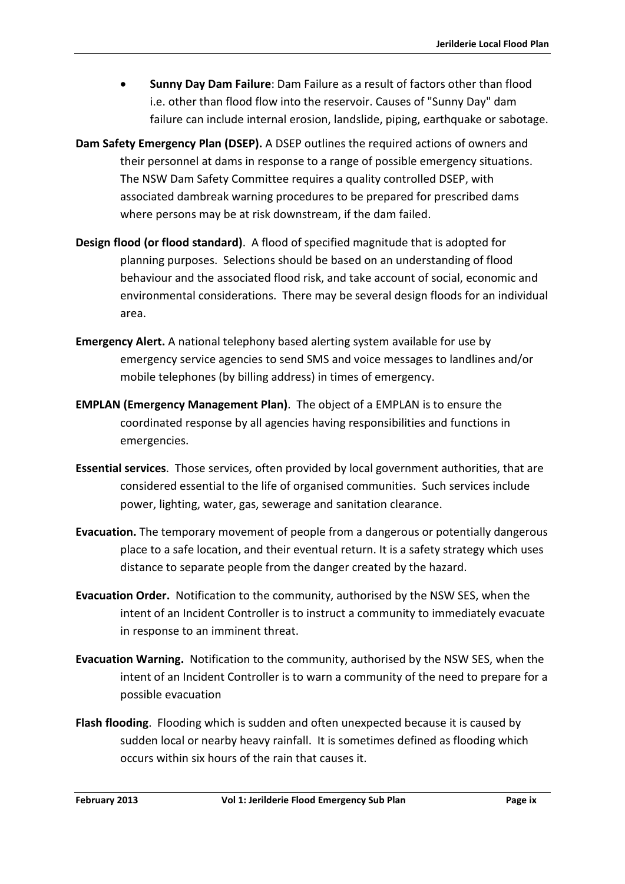- **Sunny Day Dam Failure**: Dam Failure as a result of factors other than flood i.e. other than flood flow into the reservoir. Causes of "Sunny Day" dam failure can include internal erosion, landslide, piping, earthquake or sabotage.
- **Dam Safety Emergency Plan (DSEP).** A DSEP outlines the required actions of owners and their personnel at dams in response to a range of possible emergency situations. The NSW Dam Safety Committee requires a quality controlled DSEP, with associated dambreak warning procedures to be prepared for prescribed dams where persons may be at risk downstream, if the dam failed.
- **Design flood (or flood standard)**. A flood of specified magnitude that is adopted for planning purposes. Selections should be based on an understanding of flood behaviour and the associated flood risk, and take account of social, economic and environmental considerations. There may be several design floods for an individual area.
- **Emergency Alert.** A national telephony based alerting system available for use by emergency service agencies to send SMS and voice messages to landlines and/or mobile telephones (by billing address) in times of emergency.
- **EMPLAN (Emergency Management Plan)**. The object of a EMPLAN is to ensure the coordinated response by all agencies having responsibilities and functions in emergencies.
- **Essential services**. Those services, often provided by local government authorities, that are considered essential to the life of organised communities. Such services include power, lighting, water, gas, sewerage and sanitation clearance.
- **Evacuation.** The temporary movement of people from a dangerous or potentially dangerous place to a safe location, and their eventual return. It is a safety strategy which uses distance to separate people from the danger created by the hazard.
- **Evacuation Order.** Notification to the community, authorised by the NSW SES, when the intent of an Incident Controller is to instruct a community to immediately evacuate in response to an imminent threat.
- **Evacuation Warning.** Notification to the community, authorised by the NSW SES, when the intent of an Incident Controller is to warn a community of the need to prepare for a possible evacuation
- **Flash flooding**. Flooding which is sudden and often unexpected because it is caused by sudden local or nearby heavy rainfall. It is sometimes defined as flooding which occurs within six hours of the rain that causes it.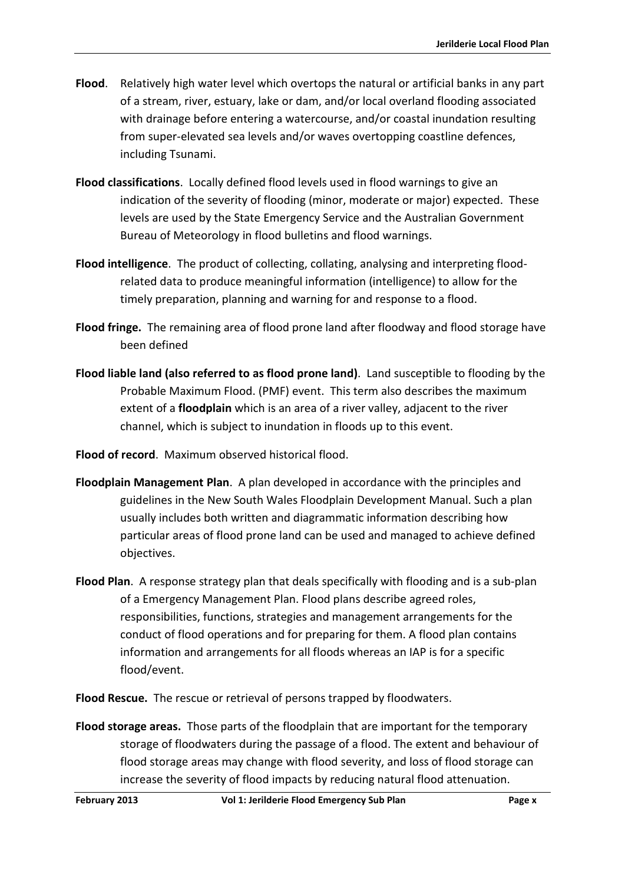- **Flood**. Relatively high water level which overtops the natural or artificial banks in any part of a stream, river, estuary, lake or dam, and/or local overland flooding associated with drainage before entering a watercourse, and/or coastal inundation resulting from super-elevated sea levels and/or waves overtopping coastline defences, including Tsunami.
- **Flood classifications**. Locally defined flood levels used in flood warnings to give an indication of the severity of flooding (minor, moderate or major) expected. These levels are used by the State Emergency Service and the Australian Government Bureau of Meteorology in flood bulletins and flood warnings.
- **Flood intelligence**. The product of collecting, collating, analysing and interpreting floodrelated data to produce meaningful information (intelligence) to allow for the timely preparation, planning and warning for and response to a flood.
- **Flood fringe.** The remaining area of flood prone land after floodway and flood storage have been defined
- **Flood liable land (also referred to as flood prone land)**. Land susceptible to flooding by the Probable Maximum Flood. (PMF) event. This term also describes the maximum extent of a **floodplain** which is an area of a river valley, adjacent to the river channel, which is subject to inundation in floods up to this event.
- **Flood of record**. Maximum observed historical flood.
- **Floodplain Management Plan**. A plan developed in accordance with the principles and guidelines in the New South Wales Floodplain Development Manual. Such a plan usually includes both written and diagrammatic information describing how particular areas of flood prone land can be used and managed to achieve defined objectives.
- **Flood Plan**. A response strategy plan that deals specifically with flooding and is a sub-plan of a Emergency Management Plan. Flood plans describe agreed roles, responsibilities, functions, strategies and management arrangements for the conduct of flood operations and for preparing for them. A flood plan contains information and arrangements for all floods whereas an IAP is for a specific flood/event.
- **Flood Rescue.** The rescue or retrieval of persons trapped by floodwaters.
- **Flood storage areas.** Those parts of the floodplain that are important for the temporary storage of floodwaters during the passage of a flood. The extent and behaviour of flood storage areas may change with flood severity, and loss of flood storage can increase the severity of flood impacts by reducing natural flood attenuation.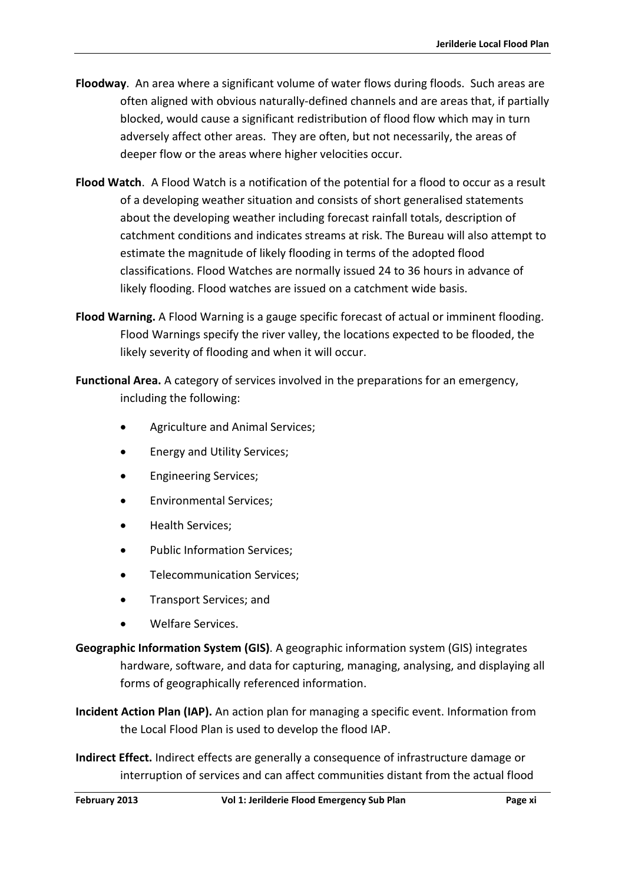- **Floodway**. An area where a significant volume of water flows during floods. Such areas are often aligned with obvious naturally-defined channels and are areas that, if partially blocked, would cause a significant redistribution of flood flow which may in turn adversely affect other areas. They are often, but not necessarily, the areas of deeper flow or the areas where higher velocities occur.
- **Flood Watch**. A Flood Watch is a notification of the potential for a flood to occur as a result of a developing weather situation and consists of short generalised statements about the developing weather including forecast rainfall totals, description of catchment conditions and indicates streams at risk. The Bureau will also attempt to estimate the magnitude of likely flooding in terms of the adopted flood classifications. Flood Watches are normally issued 24 to 36 hours in advance of likely flooding. Flood watches are issued on a catchment wide basis.
- **Flood Warning.** A Flood Warning is a gauge specific forecast of actual or imminent flooding. Flood Warnings specify the river valley, the locations expected to be flooded, the likely severity of flooding and when it will occur.
- **Functional Area.** A category of services involved in the preparations for an emergency, including the following:
	- Agriculture and Animal Services;
	- Energy and Utility Services;
	- Engineering Services;
	- Environmental Services;
	- Health Services;
	- Public Information Services;
	- Telecommunication Services;
	- Transport Services; and
	- Welfare Services.
- **Geographic Information System (GIS)**. A geographic information system (GIS) integrates hardware, software, and data for capturing, managing, analysing, and displaying all forms of geographically referenced information.
- **Incident Action Plan (IAP).** An action plan for managing a specific event. Information from the Local Flood Plan is used to develop the flood IAP.
- **Indirect Effect.** Indirect effects are generally a consequence of infrastructure damage or interruption of services and can affect communities distant from the actual flood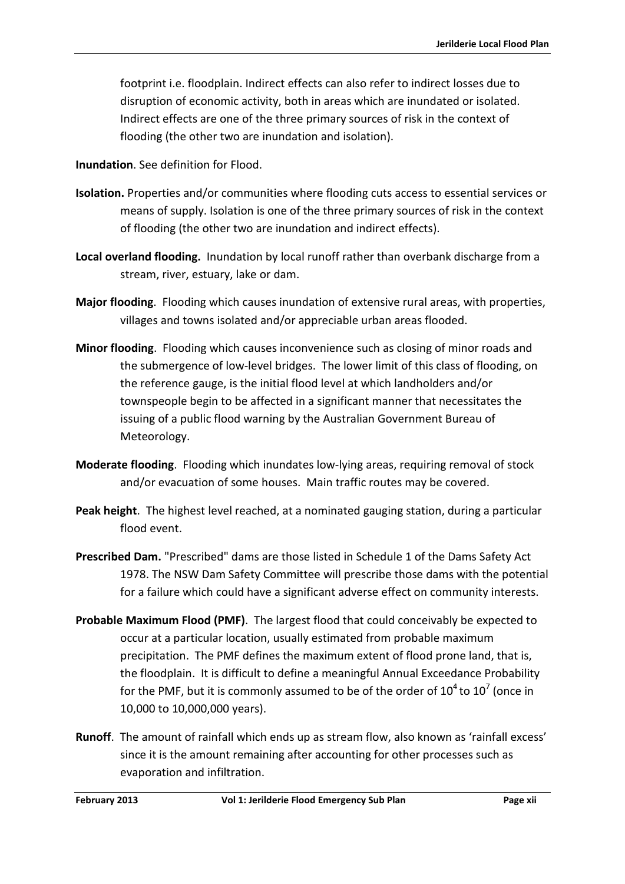footprint i.e. floodplain. Indirect effects can also refer to indirect losses due to disruption of economic activity, both in areas which are inundated or isolated. Indirect effects are one of the three primary sources of risk in the context of flooding (the other two are inundation and isolation).

**Inundation**. See definition for Flood.

- **Isolation.** Properties and/or communities where flooding cuts access to essential services or means of supply. Isolation is one of the three primary sources of risk in the context of flooding (the other two are inundation and indirect effects).
- **Local overland flooding.** Inundation by local runoff rather than overbank discharge from a stream, river, estuary, lake or dam.
- **Major flooding**. Flooding which causes inundation of extensive rural areas, with properties, villages and towns isolated and/or appreciable urban areas flooded.
- **Minor flooding**. Flooding which causes inconvenience such as closing of minor roads and the submergence of low-level bridges. The lower limit of this class of flooding, on the reference gauge, is the initial flood level at which landholders and/or townspeople begin to be affected in a significant manner that necessitates the issuing of a public flood warning by the Australian Government Bureau of Meteorology.
- **Moderate flooding**. Flooding which inundates low-lying areas, requiring removal of stock and/or evacuation of some houses. Main traffic routes may be covered.
- **Peak height**. The highest level reached, at a nominated gauging station, during a particular flood event.
- **Prescribed Dam.** "Prescribed" dams are those listed in Schedule 1 of the Dams Safety Act 1978. The NSW Dam Safety Committee will prescribe those dams with the potential for a failure which could have a significant adverse effect on community interests.
- **Probable Maximum Flood (PMF)**. The largest flood that could conceivably be expected to occur at a particular location, usually estimated from probable maximum precipitation. The PMF defines the maximum extent of flood prone land, that is, the floodplain. It is difficult to define a meaningful Annual Exceedance Probability for the PMF, but it is commonly assumed to be of the order of  $10^4$  to  $10^7$  (once in 10,000 to 10,000,000 years).
- **Runoff**. The amount of rainfall which ends up as stream flow, also known as 'rainfall excess' since it is the amount remaining after accounting for other processes such as evaporation and infiltration.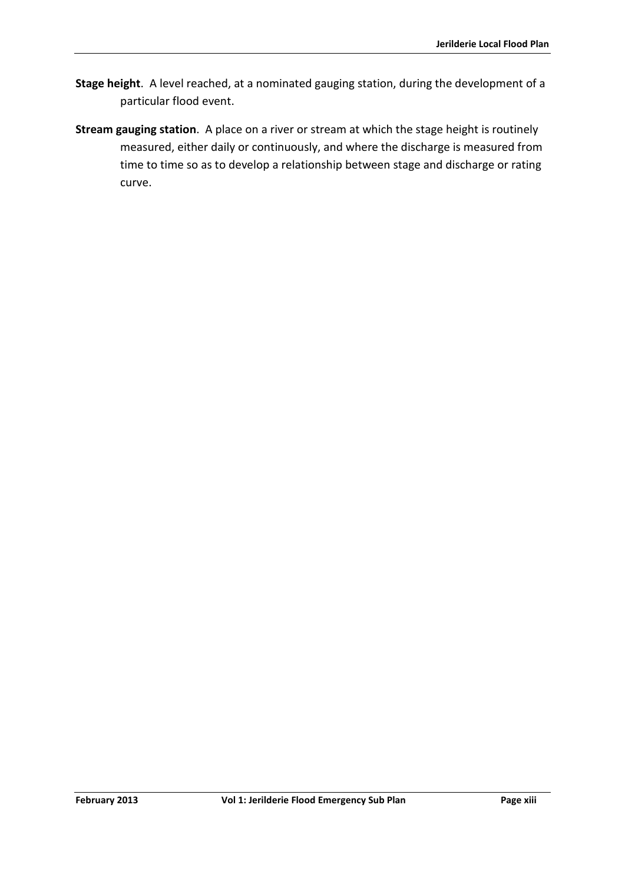- **Stage height**. A level reached, at a nominated gauging station, during the development of a particular flood event.
- **Stream gauging station**. A place on a river or stream at which the stage height is routinely measured, either daily or continuously, and where the discharge is measured from time to time so as to develop a relationship between stage and discharge or rating curve.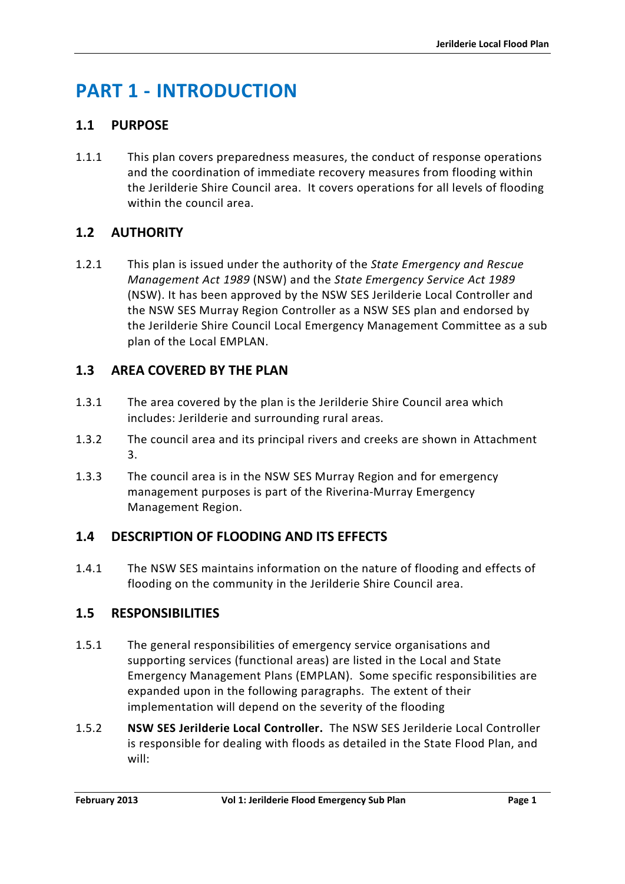# <span id="page-14-0"></span>**PART 1 - INTRODUCTION**

# <span id="page-14-1"></span>**1.1 PURPOSE**

1.1.1 This plan covers preparedness measures, the conduct of response operations and the coordination of immediate recovery measures from flooding within the Jerilderie Shire Council area. It covers operations for all levels of flooding within the council area.

# <span id="page-14-2"></span>**1.2 AUTHORITY**

1.2.1 This plan is issued under the authority of the *State Emergency and Rescue Management Act 1989* (NSW) and the *State Emergency Service Act 1989* (NSW). It has been approved by the NSW SES Jerilderie Local Controller and the NSW SES Murray Region Controller as a NSW SES plan and endorsed by the Jerilderie Shire Council Local Emergency Management Committee as a sub plan of the Local EMPLAN.

# <span id="page-14-3"></span>**1.3 AREA COVERED BY THE PLAN**

- 1.3.1 The area covered by the plan is the Jerilderie Shire Council area which includes: Jerilderie and surrounding rural areas.
- 1.3.2 The council area and its principal rivers and creeks are shown in Attachment 3.
- 1.3.3 The council area is in the NSW SES Murray Region and for emergency management purposes is part of the Riverina-Murray Emergency Management Region.

# <span id="page-14-4"></span>**1.4 DESCRIPTION OF FLOODING AND ITS EFFECTS**

1.4.1 The NSW SES maintains information on the nature of flooding and effects of flooding on the community in the Jerilderie Shire Council area.

# <span id="page-14-5"></span>**1.5 RESPONSIBILITIES**

- 1.5.1 The general responsibilities of emergency service organisations and supporting services (functional areas) are listed in the Local and State Emergency Management Plans (EMPLAN). Some specific responsibilities are expanded upon in the following paragraphs. The extent of their implementation will depend on the severity of the flooding
- 1.5.2 **NSW SES Jerilderie Local Controller.** The NSW SES Jerilderie Local Controller is responsible for dealing with floods as detailed in the State Flood Plan, and will: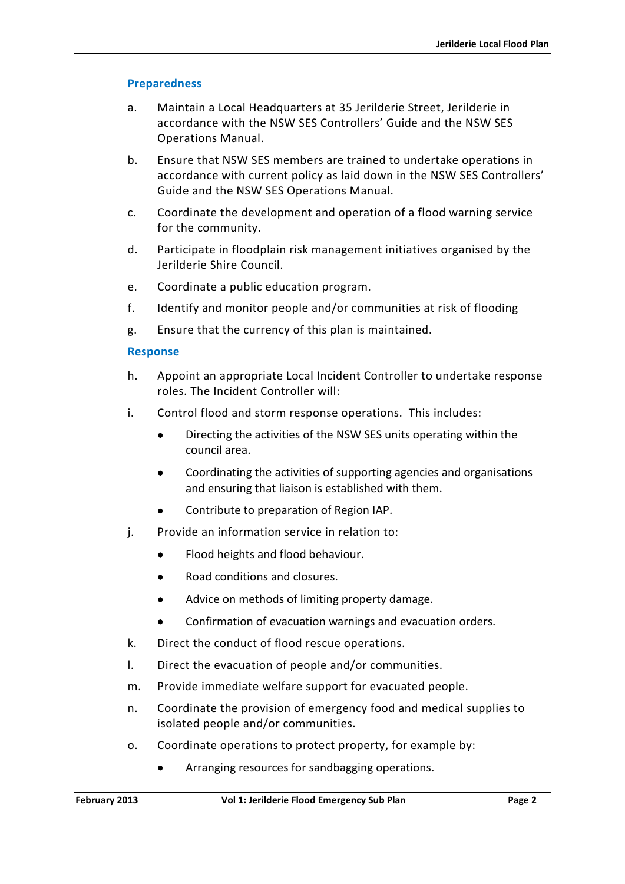#### **Preparedness**

- a. Maintain a Local Headquarters at 35 Jerilderie Street, Jerilderie in accordance with the NSW SES Controllers' Guide and the NSW SES Operations Manual.
- b. Ensure that NSW SES members are trained to undertake operations in accordance with current policy as laid down in the NSW SES Controllers' Guide and the NSW SES Operations Manual.
- c. Coordinate the development and operation of a flood warning service for the community.
- d. Participate in floodplain risk management initiatives organised by the Jerilderie Shire Council.
- e. Coordinate a public education program.
- f. Identify and monitor people and/or communities at risk of flooding
- g. Ensure that the currency of this plan is maintained.

#### **Response**

- h. Appoint an appropriate Local Incident Controller to undertake response roles. The Incident Controller will:
- i. Control flood and storm response operations. This includes:
	- Directing the activities of the NSW SES units operating within the council area.
	- Coordinating the activities of supporting agencies and organisations and ensuring that liaison is established with them.
	- Contribute to preparation of Region IAP.
- j. Provide an information service in relation to:
	- Flood heights and flood behaviour.
	- Road conditions and closures.
	- Advice on methods of limiting property damage.
	- Confirmation of evacuation warnings and evacuation orders.
- k. Direct the conduct of flood rescue operations.
- l. Direct the evacuation of people and/or communities.
- m. Provide immediate welfare support for evacuated people.
- n. Coordinate the provision of emergency food and medical supplies to isolated people and/or communities.
- o. Coordinate operations to protect property, for example by:
	- Arranging resources for sandbagging operations.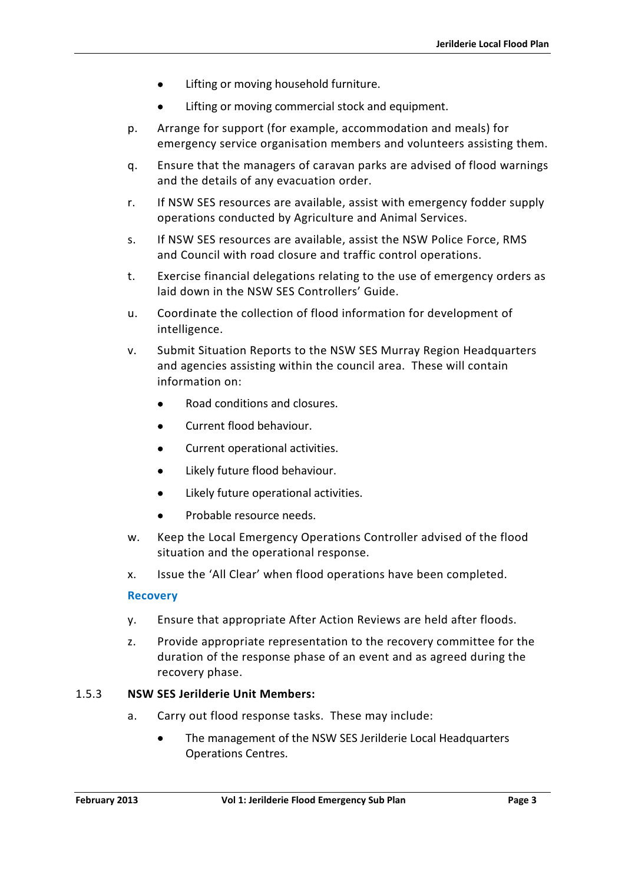- Lifting or moving household furniture.
- Lifting or moving commercial stock and equipment.
- p. Arrange for support (for example, accommodation and meals) for emergency service organisation members and volunteers assisting them.
- q. Ensure that the managers of caravan parks are advised of flood warnings and the details of any evacuation order.
- r. If NSW SES resources are available, assist with emergency fodder supply operations conducted by Agriculture and Animal Services.
- s. If NSW SES resources are available, assist the NSW Police Force, RMS and Council with road closure and traffic control operations.
- t. Exercise financial delegations relating to the use of emergency orders as laid down in the NSW SES Controllers' Guide.
- u. Coordinate the collection of flood information for development of intelligence.
- v. Submit Situation Reports to the NSW SES Murray Region Headquarters and agencies assisting within the council area. These will contain information on:
	- Road conditions and closures.
	- Current flood behaviour.
	- Current operational activities.
	- Likely future flood behaviour.
	- Likely future operational activities.
	- Probable resource needs.
- w. Keep the Local Emergency Operations Controller advised of the flood situation and the operational response.
- x. Issue the 'All Clear' when flood operations have been completed.

#### **Recovery**

- y. Ensure that appropriate After Action Reviews are held after floods.
- z. Provide appropriate representation to the recovery committee for the duration of the response phase of an event and as agreed during the recovery phase.

#### 1.5.3 **NSW SES Jerilderie Unit Members:**

- a. Carry out flood response tasks. These may include:
	- The management of the NSW SES Jerilderie Local Headquarters Operations Centres.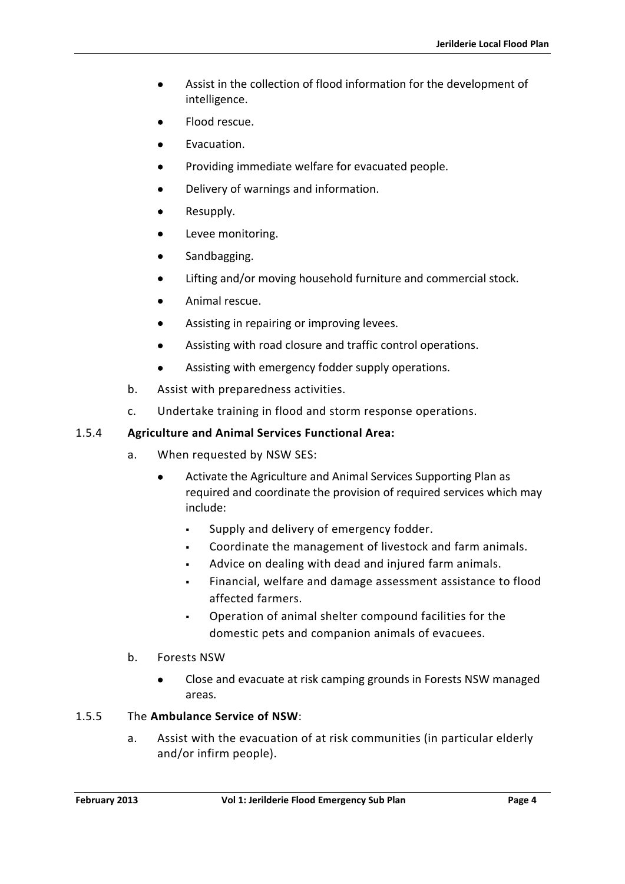- Assist in the collection of flood information for the development of intelligence.
- Flood rescue.
- Evacuation.
- Providing immediate welfare for evacuated people.
- Delivery of warnings and information.
- Resupply.
- Levee monitoring.
- Sandbagging.
- Lifting and/or moving household furniture and commercial stock.
- Animal rescue.
- Assisting in repairing or improving levees.
- Assisting with road closure and traffic control operations.
- Assisting with emergency fodder supply operations.
- b. Assist with preparedness activities.
- c. Undertake training in flood and storm response operations.

#### 1.5.4 **Agriculture and Animal Services Functional Area:**

- a. When requested by NSW SES:
	- Activate the Agriculture and Animal Services Supporting Plan as required and coordinate the provision of required services which may include:
		- Supply and delivery of emergency fodder.
		- Coordinate the management of livestock and farm animals.
		- Advice on dealing with dead and injured farm animals.
		- Financial, welfare and damage assessment assistance to flood affected farmers.
		- Operation of animal shelter compound facilities for the domestic pets and companion animals of evacuees.
- b. Forests NSW
	- Close and evacuate at risk camping grounds in Forests NSW managed areas.

#### 1.5.5 The **Ambulance Service of NSW**:

a. Assist with the evacuation of at risk communities (in particular elderly and/or infirm people).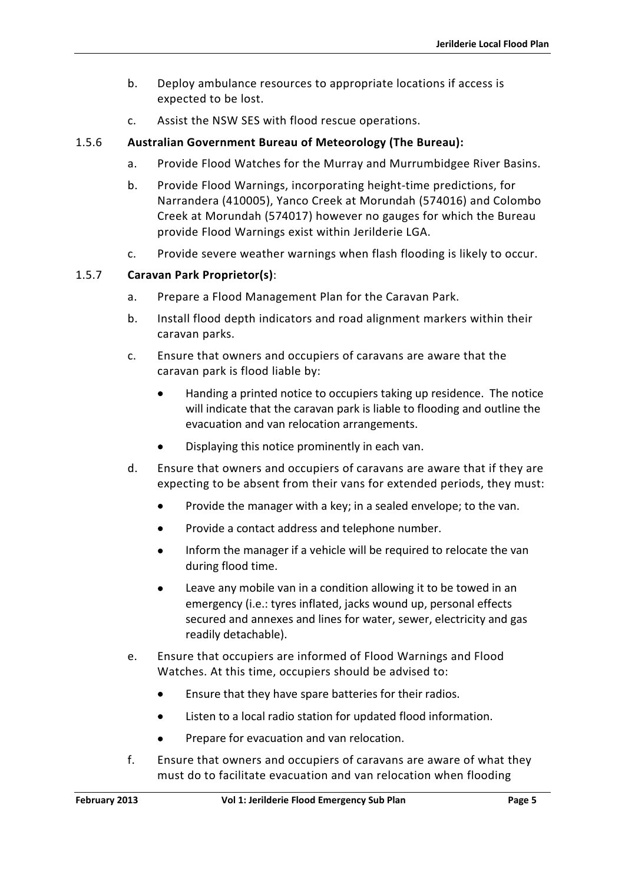- b. Deploy ambulance resources to appropriate locations if access is expected to be lost.
- c. Assist the NSW SES with flood rescue operations.

### 1.5.6 **Australian Government Bureau of Meteorology (The Bureau):**

- a. Provide Flood Watches for the Murray and Murrumbidgee River Basins.
- b. Provide Flood Warnings, incorporating height-time predictions, for Narrandera (410005), Yanco Creek at Morundah (574016) and Colombo Creek at Morundah (574017) however no gauges for which the Bureau provide Flood Warnings exist within Jerilderie LGA.
- c. Provide severe weather warnings when flash flooding is likely to occur.

#### 1.5.7 **Caravan Park Proprietor(s)**:

- a. Prepare a Flood Management Plan for the Caravan Park.
- b. Install flood depth indicators and road alignment markers within their caravan parks.
- c. Ensure that owners and occupiers of caravans are aware that the caravan park is flood liable by:
	- Handing a printed notice to occupiers taking up residence. The notice will indicate that the caravan park is liable to flooding and outline the evacuation and van relocation arrangements.
	- Displaying this notice prominently in each van.
- d. Ensure that owners and occupiers of caravans are aware that if they are expecting to be absent from their vans for extended periods, they must:
	- Provide the manager with a key; in a sealed envelope; to the van.
	- Provide a contact address and telephone number.
	- Inform the manager if a vehicle will be required to relocate the van during flood time.
	- Leave any mobile van in a condition allowing it to be towed in an emergency (i.e.: tyres inflated, jacks wound up, personal effects secured and annexes and lines for water, sewer, electricity and gas readily detachable).
- e. Ensure that occupiers are informed of Flood Warnings and Flood Watches. At this time, occupiers should be advised to:
	- Ensure that they have spare batteries for their radios.
	- Listen to a local radio station for updated flood information.
	- Prepare for evacuation and van relocation.
- f. Ensure that owners and occupiers of caravans are aware of what they must do to facilitate evacuation and van relocation when flooding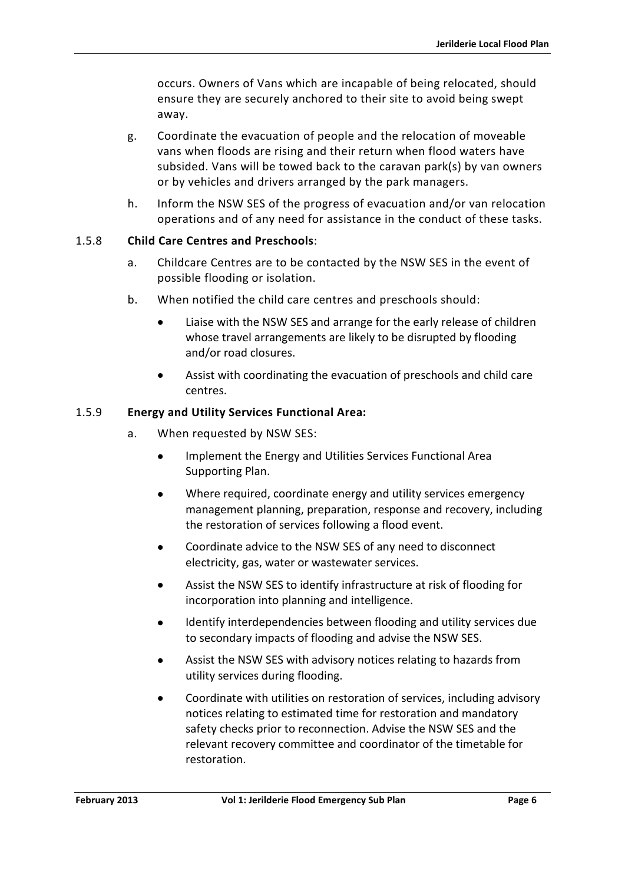occurs. Owners of Vans which are incapable of being relocated, should ensure they are securely anchored to their site to avoid being swept away.

- g. Coordinate the evacuation of people and the relocation of moveable vans when floods are rising and their return when flood waters have subsided. Vans will be towed back to the caravan park(s) by van owners or by vehicles and drivers arranged by the park managers.
- h. Inform the NSW SES of the progress of evacuation and/or van relocation operations and of any need for assistance in the conduct of these tasks.

#### 1.5.8 **Child Care Centres and Preschools**:

- a. Childcare Centres are to be contacted by the NSW SES in the event of possible flooding or isolation.
- b. When notified the child care centres and preschools should:
	- Liaise with the NSW SES and arrange for the early release of children whose travel arrangements are likely to be disrupted by flooding and/or road closures.
	- Assist with coordinating the evacuation of preschools and child care centres.

#### 1.5.9 **Energy and Utility Services Functional Area:**

- a. When requested by NSW SES:
	- Implement the Energy and Utilities Services Functional Area Supporting Plan.
	- Where required, coordinate energy and utility services emergency management planning, preparation, response and recovery, including the restoration of services following a flood event.
	- Coordinate advice to the NSW SES of any need to disconnect electricity, gas, water or wastewater services.
	- Assist the NSW SES to identify infrastructure at risk of flooding for incorporation into planning and intelligence.
	- Identify interdependencies between flooding and utility services due to secondary impacts of flooding and advise the NSW SES.
	- Assist the NSW SES with advisory notices relating to hazards from utility services during flooding.
	- Coordinate with utilities on restoration of services, including advisory notices relating to estimated time for restoration and mandatory safety checks prior to reconnection. Advise the NSW SES and the relevant recovery committee and coordinator of the timetable for restoration.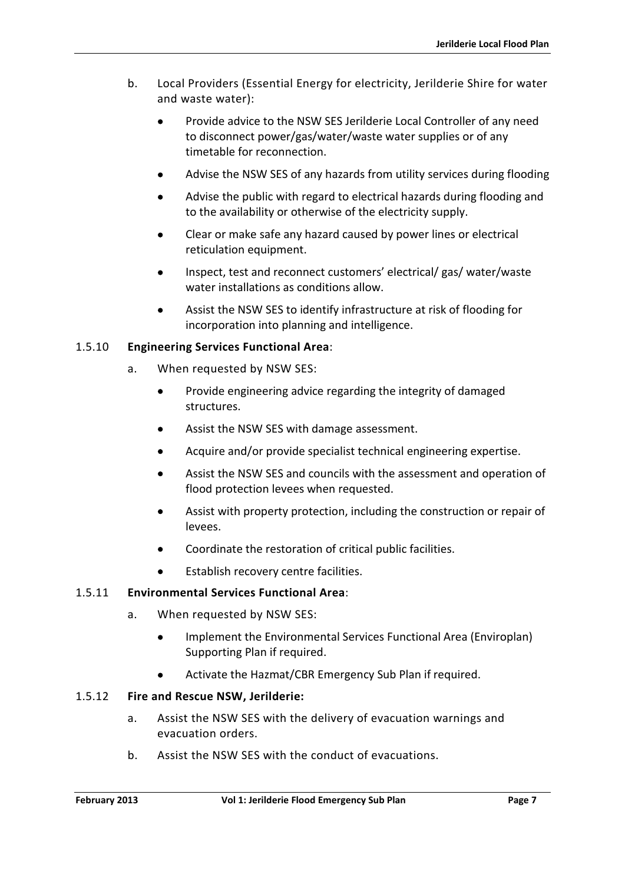- b. Local Providers (Essential Energy for electricity, Jerilderie Shire for water and waste water):
	- Provide advice to the NSW SES Jerilderie Local Controller of any need to disconnect power/gas/water/waste water supplies or of any timetable for reconnection.
	- Advise the NSW SES of any hazards from utility services during flooding
	- Advise the public with regard to electrical hazards during flooding and to the availability or otherwise of the electricity supply.
	- Clear or make safe any hazard caused by power lines or electrical reticulation equipment.
	- Inspect, test and reconnect customers' electrical/ gas/ water/waste water installations as conditions allow.
	- Assist the NSW SES to identify infrastructure at risk of flooding for incorporation into planning and intelligence.

#### 1.5.10 **Engineering Services Functional Area**:

- a. When requested by NSW SES:
	- Provide engineering advice regarding the integrity of damaged structures.
	- Assist the NSW SES with damage assessment.
	- Acquire and/or provide specialist technical engineering expertise.
	- Assist the NSW SES and councils with the assessment and operation of flood protection levees when requested.
	- Assist with property protection, including the construction or repair of levees.
	- Coordinate the restoration of critical public facilities.
	- Establish recovery centre facilities.

#### 1.5.11 **Environmental Services Functional Area**:

- a. When requested by NSW SES:
	- Implement the Environmental Services Functional Area (Enviroplan) Supporting Plan if required.
	- Activate the Hazmat/CBR Emergency Sub Plan if required.

#### 1.5.12 **Fire and Rescue NSW, Jerilderie:**

- a. Assist the NSW SES with the delivery of evacuation warnings and evacuation orders.
- b. Assist the NSW SES with the conduct of evacuations.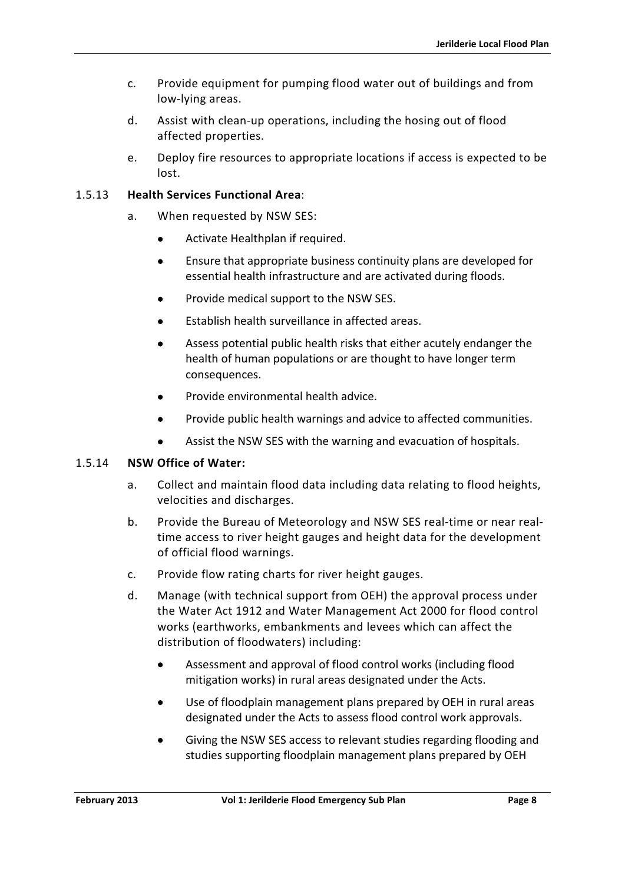- c. Provide equipment for pumping flood water out of buildings and from low-lying areas.
- d. Assist with clean-up operations, including the hosing out of flood affected properties.
- e. Deploy fire resources to appropriate locations if access is expected to be lost.

### 1.5.13 **Health Services Functional Area**:

- a. When requested by NSW SES:
	- Activate Healthplan if required.
	- Ensure that appropriate business continuity plans are developed for essential health infrastructure and are activated during floods.
	- Provide medical support to the NSW SES.
	- Establish health surveillance in affected areas.
	- Assess potential public health risks that either acutely endanger the health of human populations or are thought to have longer term consequences.
	- Provide environmental health advice.
	- Provide public health warnings and advice to affected communities.
	- Assist the NSW SES with the warning and evacuation of hospitals.

#### 1.5.14 **NSW Office of Water:**

- a. Collect and maintain flood data including data relating to flood heights, velocities and discharges.
- b. Provide the Bureau of Meteorology and NSW SES real-time or near realtime access to river height gauges and height data for the development of official flood warnings.
- c. Provide flow rating charts for river height gauges.
- d. Manage (with technical support from OEH) the approval process under the Water Act 1912 and Water Management Act 2000 for flood control works (earthworks, embankments and levees which can affect the distribution of floodwaters) including:
	- Assessment and approval of flood control works (including flood mitigation works) in rural areas designated under the Acts.
	- Use of floodplain management plans prepared by OEH in rural areas designated under the Acts to assess flood control work approvals.
	- Giving the NSW SES access to relevant studies regarding flooding and studies supporting floodplain management plans prepared by OEH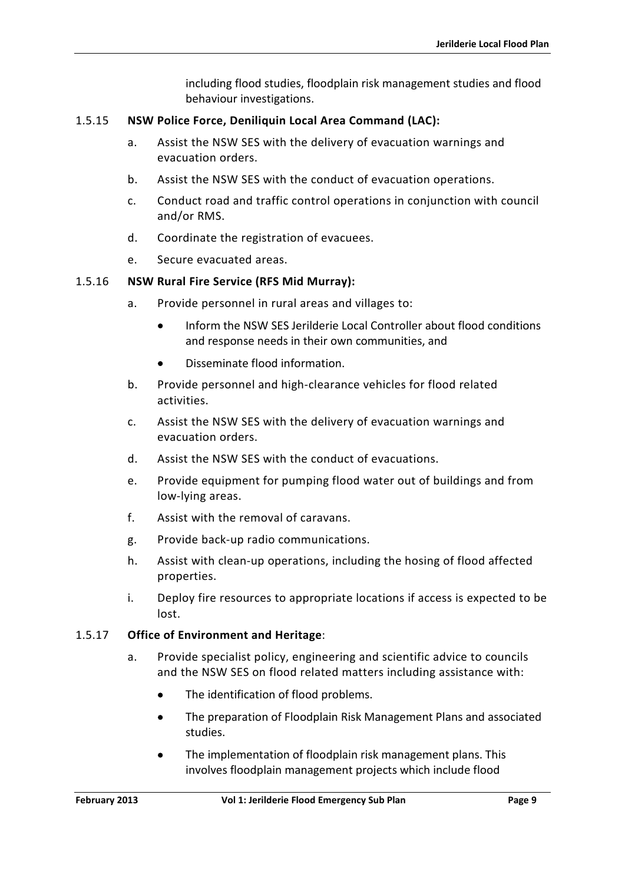including flood studies, floodplain risk management studies and flood behaviour investigations.

#### 1.5.15 **NSW Police Force, Deniliquin Local Area Command (LAC):**

- a. Assist the NSW SES with the delivery of evacuation warnings and evacuation orders.
- b. Assist the NSW SES with the conduct of evacuation operations.
- c. Conduct road and traffic control operations in conjunction with council and/or RMS.
- d. Coordinate the registration of evacuees.
- e. Secure evacuated areas.

#### 1.5.16 **NSW Rural Fire Service (RFS Mid Murray):**

- a. Provide personnel in rural areas and villages to:
	- Inform the NSW SES Jerilderie Local Controller about flood conditions and response needs in their own communities, and
	- Disseminate flood information.
- b. Provide personnel and high-clearance vehicles for flood related activities.
- c. Assist the NSW SES with the delivery of evacuation warnings and evacuation orders.
- d. Assist the NSW SES with the conduct of evacuations.
- e. Provide equipment for pumping flood water out of buildings and from low-lying areas.
- f. Assist with the removal of caravans.
- g. Provide back-up radio communications.
- h. Assist with clean-up operations, including the hosing of flood affected properties.
- i. Deploy fire resources to appropriate locations if access is expected to be lost.

#### 1.5.17 **Office of Environment and Heritage**:

- a. Provide specialist policy, engineering and scientific advice to councils and the NSW SES on flood related matters including assistance with:
	- The identification of flood problems.
	- The preparation of Floodplain Risk Management Plans and associated studies.
	- The implementation of floodplain risk management plans. This involves floodplain management projects which include flood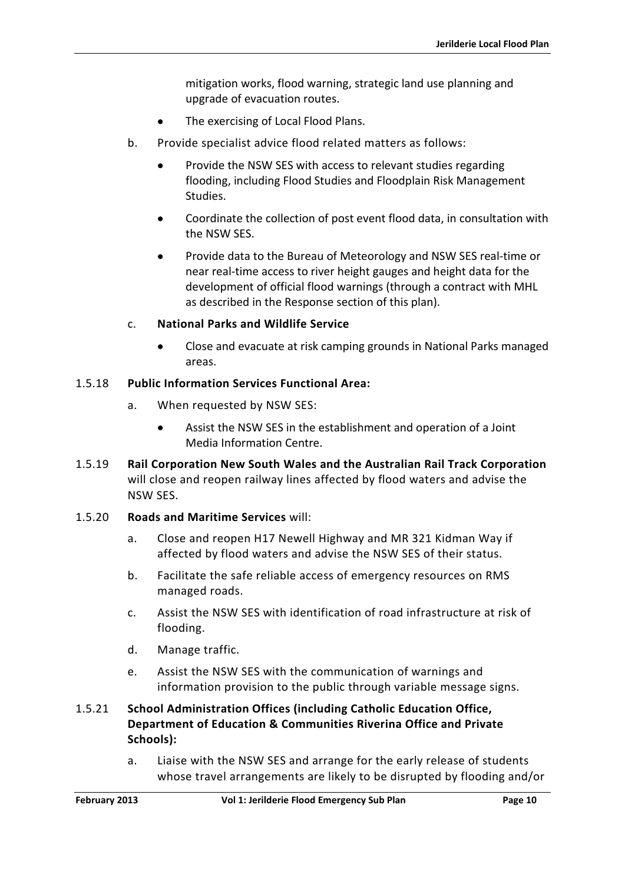mitigation works, flood warning, strategic land use planning and upgrade of evacuation routes.

- The exercising of Local Flood Plans.
- b. Provide specialist advice flood related matters as follows:
	- Provide the NSW SES with access to relevant studies regarding flooding, including Flood Studies and Floodplain Risk Management Studies.
	- Coordinate the collection of post event flood data, in consultation with the NSW SES.
	- Provide data to the Bureau of Meteorology and NSW SES real-time or near real-time access to river height gauges and height data for the development of official flood warnings (through a contract with MHL as described in the Response section of this plan).

#### c. **National Parks and Wildlife Service**

• Close and evacuate at risk camping grounds in National Parks managed areas.

#### 1.5.18 **Public Information Services Functional Area:**

- a. When requested by NSW SES:
	- Assist the NSW SES in the establishment and operation of a Joint Media Information Centre.
- 1.5.19 **Rail Corporation New South Wales and the Australian Rail Track Corporation**  will close and reopen railway lines affected by flood waters and advise the NSW SES.
- 1.5.20 **Roads and Maritime Services** will:
	- a. Close and reopen H17 Newell Highway and MR 321 Kidman Way if affected by flood waters and advise the NSW SES of their status.
	- b. Facilitate the safe reliable access of emergency resources on RMS managed roads.
	- c. Assist the NSW SES with identification of road infrastructure at risk of flooding.
	- d. Manage traffic.
	- e. Assist the NSW SES with the communication of warnings and information provision to the public through variable message signs.

### 1.5.21 **School Administration Offices (including Catholic Education Office, Department of Education & Communities Riverina Office and Private Schools):**

a. Liaise with the NSW SES and arrange for the early release of students whose travel arrangements are likely to be disrupted by flooding and/or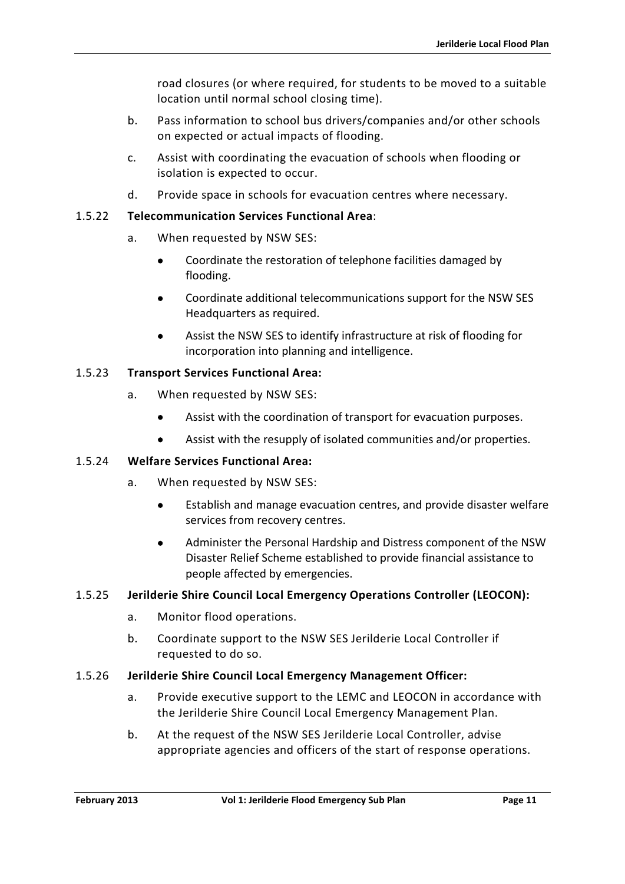road closures (or where required, for students to be moved to a suitable location until normal school closing time).

- b. Pass information to school bus drivers/companies and/or other schools on expected or actual impacts of flooding.
- c. Assist with coordinating the evacuation of schools when flooding or isolation is expected to occur.
- d. Provide space in schools for evacuation centres where necessary.

### 1.5.22 **Telecommunication Services Functional Area**:

- a. When requested by NSW SES:
	- Coordinate the restoration of telephone facilities damaged by flooding.
	- Coordinate additional telecommunications support for the NSW SES Headquarters as required.
	- Assist the NSW SES to identify infrastructure at risk of flooding for incorporation into planning and intelligence.

### 1.5.23 **Transport Services Functional Area:**

- a. When requested by NSW SES:
	- Assist with the coordination of transport for evacuation purposes.
	- Assist with the resupply of isolated communities and/or properties.

#### 1.5.24 **Welfare Services Functional Area:**

- a. When requested by NSW SES:
	- Establish and manage evacuation centres, and provide disaster welfare services from recovery centres.
	- Administer the Personal Hardship and Distress component of the NSW Disaster Relief Scheme established to provide financial assistance to people affected by emergencies.

#### 1.5.25 **Jerilderie Shire Council Local Emergency Operations Controller (LEOCON):**

- a. Monitor flood operations.
- b. Coordinate support to the NSW SES Jerilderie Local Controller if requested to do so.

#### 1.5.26 **Jerilderie Shire Council Local Emergency Management Officer:**

- a. Provide executive support to the LEMC and LEOCON in accordance with the Jerilderie Shire Council Local Emergency Management Plan.
- b. At the request of the NSW SES Jerilderie Local Controller, advise appropriate agencies and officers of the start of response operations.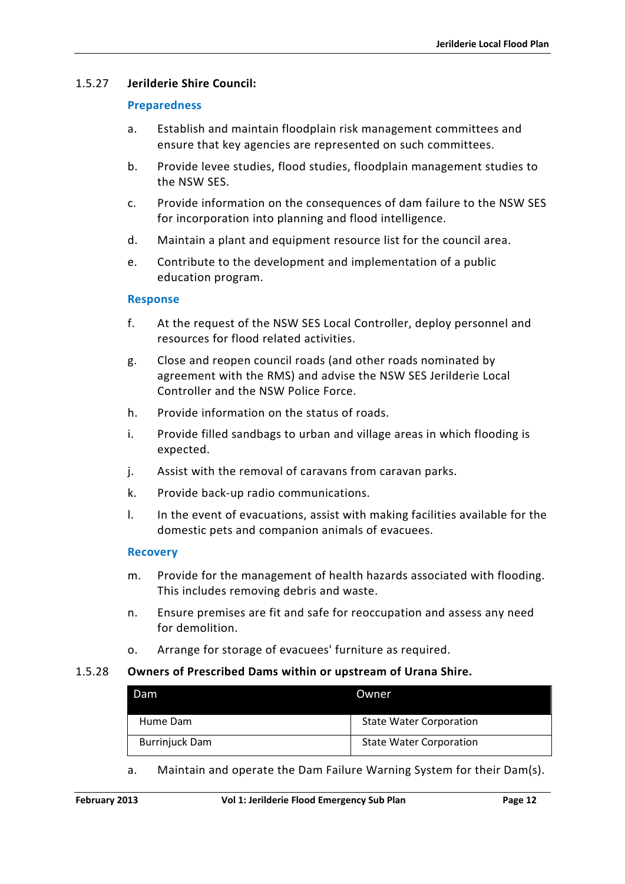### 1.5.27 **Jerilderie Shire Council:**

#### **Preparedness**

- a. Establish and maintain floodplain risk management committees and ensure that key agencies are represented on such committees.
- b. Provide levee studies, flood studies, floodplain management studies to the NSW SES.
- c. Provide information on the consequences of dam failure to the NSW SES for incorporation into planning and flood intelligence.
- d. Maintain a plant and equipment resource list for the council area.
- e. Contribute to the development and implementation of a public education program.

#### **Response**

- f. At the request of the NSW SES Local Controller, deploy personnel and resources for flood related activities.
- g. Close and reopen council roads (and other roads nominated by agreement with the RMS) and advise the NSW SES Jerilderie Local Controller and the NSW Police Force.
- h. Provide information on the status of roads.
- i. Provide filled sandbags to urban and village areas in which flooding is expected.
- j. Assist with the removal of caravans from caravan parks.
- k. Provide back-up radio communications.
- l. In the event of evacuations, assist with making facilities available for the domestic pets and companion animals of evacuees.

#### **Recovery**

- m. Provide for the management of health hazards associated with flooding. This includes removing debris and waste.
- n. Ensure premises are fit and safe for reoccupation and assess any need for demolition.
- o. Arrange for storage of evacuees' furniture as required.

#### 1.5.28 **Owners of Prescribed Dams within or upstream of Urana Shire.**

| Dam                   | <b>Owner</b>                   |
|-----------------------|--------------------------------|
| Hume Dam              | <b>State Water Corporation</b> |
| <b>Burrinjuck Dam</b> | <b>State Water Corporation</b> |

a. Maintain and operate the Dam Failure Warning System for their Dam(s).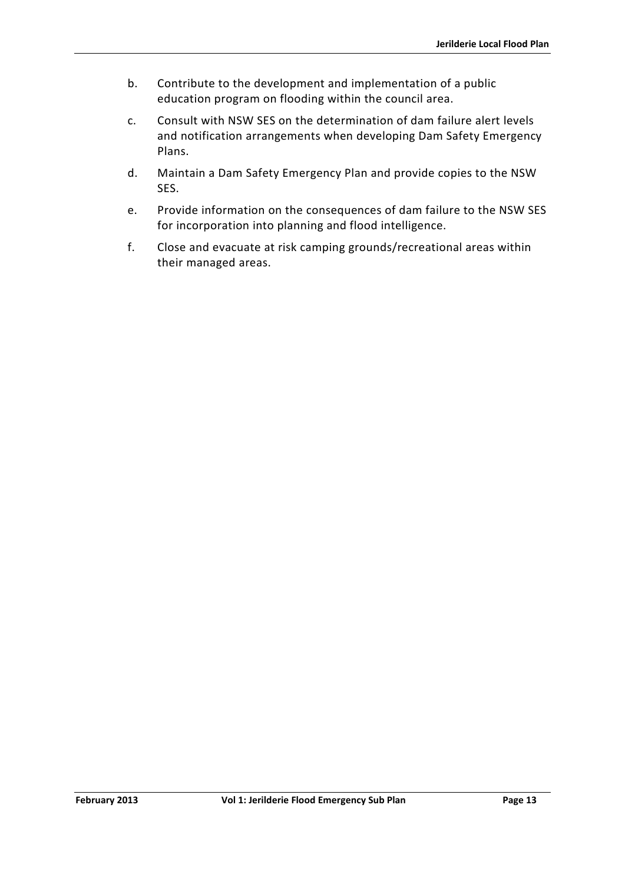- b. Contribute to the development and implementation of a public education program on flooding within the council area.
- c. Consult with NSW SES on the determination of dam failure alert levels and notification arrangements when developing Dam Safety Emergency Plans.
- d. Maintain a Dam Safety Emergency Plan and provide copies to the NSW SES.
- e. Provide information on the consequences of dam failure to the NSW SES for incorporation into planning and flood intelligence.
- f. Close and evacuate at risk camping grounds/recreational areas within their managed areas.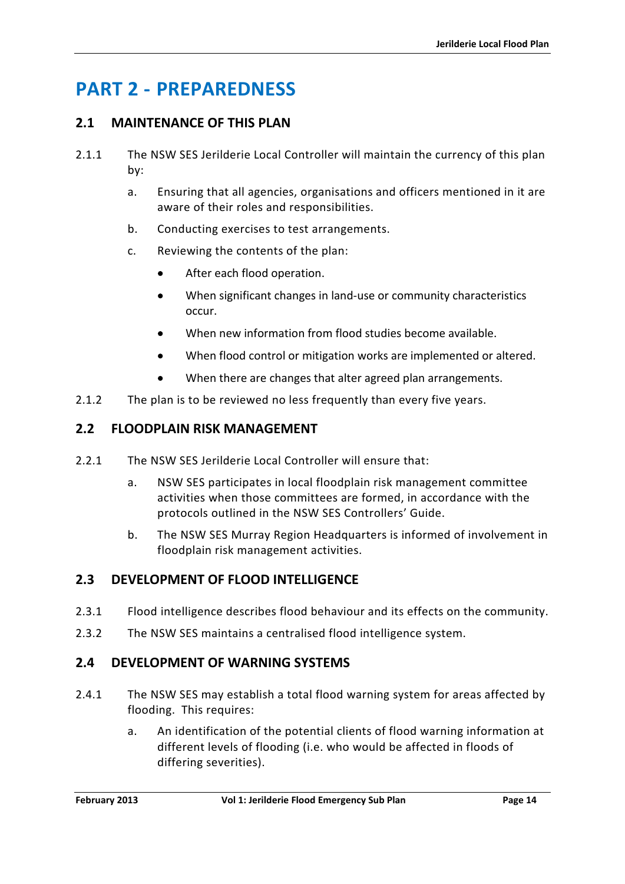# <span id="page-27-0"></span>**PART 2 - PREPAREDNESS**

# <span id="page-27-1"></span>**2.1 MAINTENANCE OF THIS PLAN**

- 2.1.1 The NSW SES Jerilderie Local Controller will maintain the currency of this plan by:
	- a. Ensuring that all agencies, organisations and officers mentioned in it are aware of their roles and responsibilities.
	- b. Conducting exercises to test arrangements.
	- c. Reviewing the contents of the plan:
		- After each flood operation.
		- When significant changes in land-use or community characteristics occur.
		- When new information from flood studies become available.
		- When flood control or mitigation works are implemented or altered.
		- When there are changes that alter agreed plan arrangements.
- 2.1.2 The plan is to be reviewed no less frequently than every five years.

### <span id="page-27-2"></span>**2.2 FLOODPLAIN RISK MANAGEMENT**

- 2.2.1 The NSW SES Jerilderie Local Controller will ensure that:
	- a. NSW SES participates in local floodplain risk management committee activities when those committees are formed, in accordance with the protocols outlined in the NSW SES Controllers' Guide.
	- b. The NSW SES Murray Region Headquarters is informed of involvement in floodplain risk management activities.

# <span id="page-27-3"></span>**2.3 DEVELOPMENT OF FLOOD INTELLIGENCE**

- 2.3.1 Flood intelligence describes flood behaviour and its effects on the community.
- 2.3.2 The NSW SES maintains a centralised flood intelligence system.

# <span id="page-27-4"></span>**2.4 DEVELOPMENT OF WARNING SYSTEMS**

- 2.4.1 The NSW SES may establish a total flood warning system for areas affected by flooding. This requires:
	- a. An identification of the potential clients of flood warning information at different levels of flooding (i.e. who would be affected in floods of differing severities).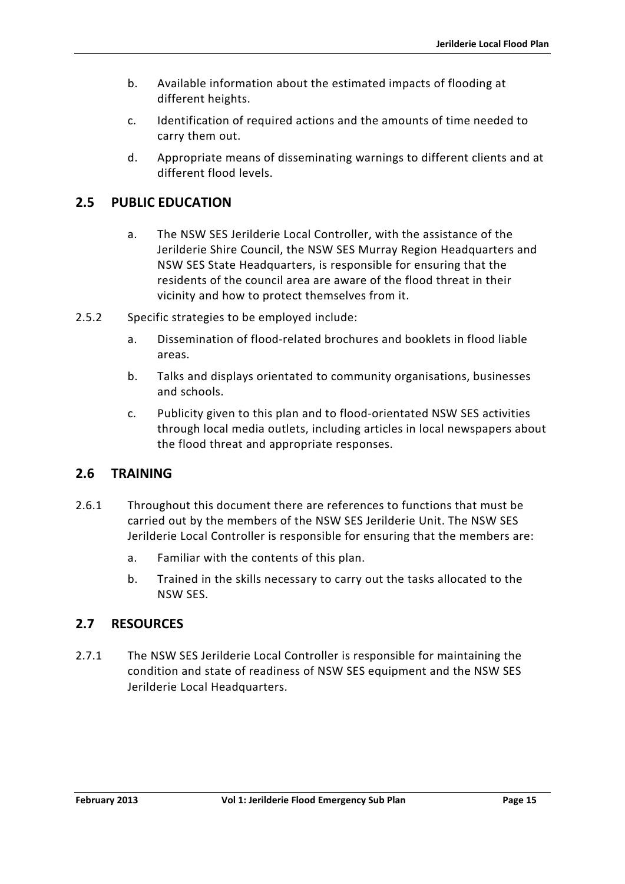- b. Available information about the estimated impacts of flooding at different heights.
- c. Identification of required actions and the amounts of time needed to carry them out.
- d. Appropriate means of disseminating warnings to different clients and at different flood levels.

# <span id="page-28-0"></span>**2.5 PUBLIC EDUCATION**

- a. The NSW SES Jerilderie Local Controller, with the assistance of the Jerilderie Shire Council, the NSW SES Murray Region Headquarters and NSW SES State Headquarters, is responsible for ensuring that the residents of the council area are aware of the flood threat in their vicinity and how to protect themselves from it.
- 2.5.2 Specific strategies to be employed include:
	- a. Dissemination of flood-related brochures and booklets in flood liable areas.
	- b. Talks and displays orientated to community organisations, businesses and schools.
	- c. Publicity given to this plan and to flood-orientated NSW SES activities through local media outlets, including articles in local newspapers about the flood threat and appropriate responses.

# <span id="page-28-1"></span>**2.6 TRAINING**

- 2.6.1 Throughout this document there are references to functions that must be carried out by the members of the NSW SES Jerilderie Unit. The NSW SES Jerilderie Local Controller is responsible for ensuring that the members are:
	- a. Familiar with the contents of this plan.
	- b. Trained in the skills necessary to carry out the tasks allocated to the NSW SES.

# <span id="page-28-2"></span>**2.7 RESOURCES**

2.7.1 The NSW SES Jerilderie Local Controller is responsible for maintaining the condition and state of readiness of NSW SES equipment and the NSW SES Jerilderie Local Headquarters.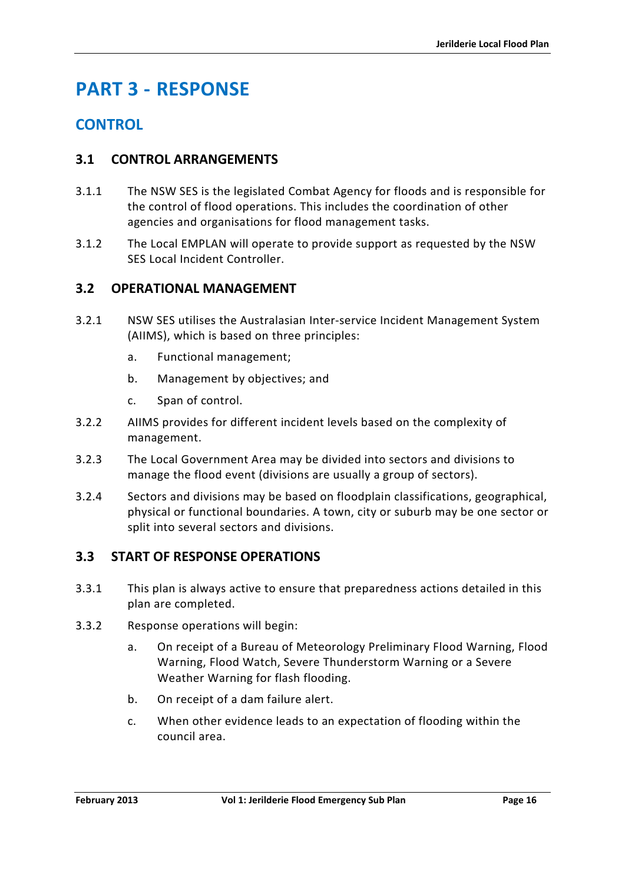# <span id="page-29-0"></span>**PART 3 - RESPONSE**

# **CONTROL**

# <span id="page-29-1"></span>**3.1 CONTROL ARRANGEMENTS**

- 3.1.1 The NSW SES is the legislated Combat Agency for floods and is responsible for the control of flood operations. This includes the coordination of other agencies and organisations for flood management tasks.
- 3.1.2 The Local EMPLAN will operate to provide support as requested by the NSW SES Local Incident Controller.

# <span id="page-29-2"></span>**3.2 OPERATIONAL MANAGEMENT**

- 3.2.1 NSW SES utilises the Australasian Inter-service Incident Management System (AIIMS), which is based on three principles:
	- a. Functional management;
	- b. Management by objectives; and
	- c. Span of control.
- 3.2.2 AIIMS provides for different incident levels based on the complexity of management.
- 3.2.3 The Local Government Area may be divided into sectors and divisions to manage the flood event (divisions are usually a group of sectors).
- 3.2.4 Sectors and divisions may be based on floodplain classifications, geographical, physical or functional boundaries. A town, city or suburb may be one sector or split into several sectors and divisions.

# <span id="page-29-3"></span>**3.3 START OF RESPONSE OPERATIONS**

- 3.3.1 This plan is always active to ensure that preparedness actions detailed in this plan are completed.
- 3.3.2 Response operations will begin:
	- a. On receipt of a Bureau of Meteorology Preliminary Flood Warning, Flood Warning, Flood Watch, Severe Thunderstorm Warning or a Severe Weather Warning for flash flooding.
	- b. On receipt of a dam failure alert.
	- c. When other evidence leads to an expectation of flooding within the council area.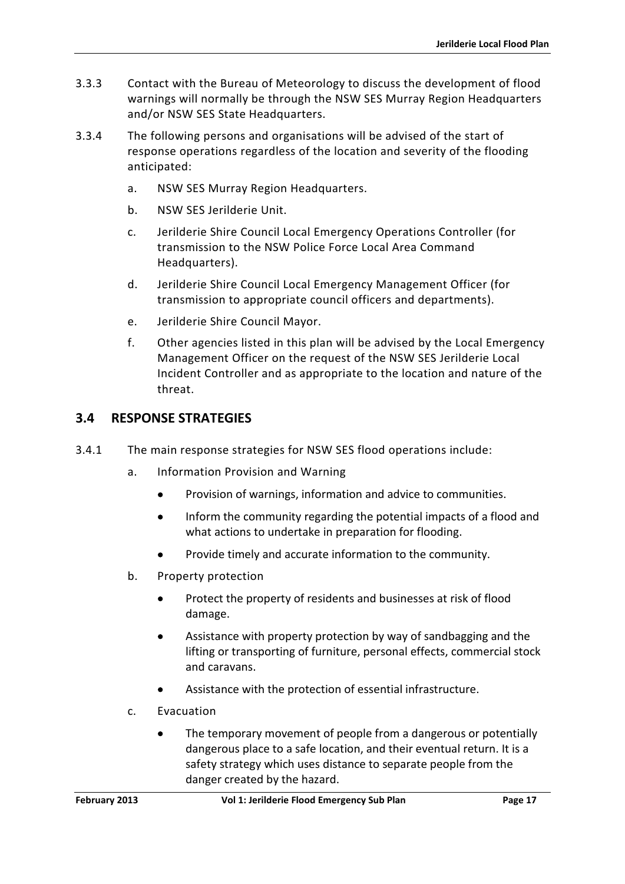- 3.3.3 Contact with the Bureau of Meteorology to discuss the development of flood warnings will normally be through the NSW SES Murray Region Headquarters and/or NSW SES State Headquarters.
- 3.3.4 The following persons and organisations will be advised of the start of response operations regardless of the location and severity of the flooding anticipated:
	- a. NSW SES Murray Region Headquarters.
	- b. NSW SES Jerilderie Unit.
	- c. Jerilderie Shire Council Local Emergency Operations Controller (for transmission to the NSW Police Force Local Area Command Headquarters).
	- d. Jerilderie Shire Council Local Emergency Management Officer (for transmission to appropriate council officers and departments).
	- e. Jerilderie Shire Council Mayor.
	- f. Other agencies listed in this plan will be advised by the Local Emergency Management Officer on the request of the NSW SES Jerilderie Local Incident Controller and as appropriate to the location and nature of the threat.

# <span id="page-30-0"></span>**3.4 RESPONSE STRATEGIES**

- 3.4.1 The main response strategies for NSW SES flood operations include:
	- a. Information Provision and Warning
		- Provision of warnings, information and advice to communities.
		- Inform the community regarding the potential impacts of a flood and what actions to undertake in preparation for flooding.
		- Provide timely and accurate information to the community.
	- b. Property protection
		- Protect the property of residents and businesses at risk of flood damage.
		- Assistance with property protection by way of sandbagging and the lifting or transporting of furniture, personal effects, commercial stock and caravans.
		- Assistance with the protection of essential infrastructure.
	- c. Evacuation
		- The temporary movement of people from a dangerous or potentially dangerous place to a safe location, and their eventual return. It is a safety strategy which uses distance to separate people from the danger created by the hazard.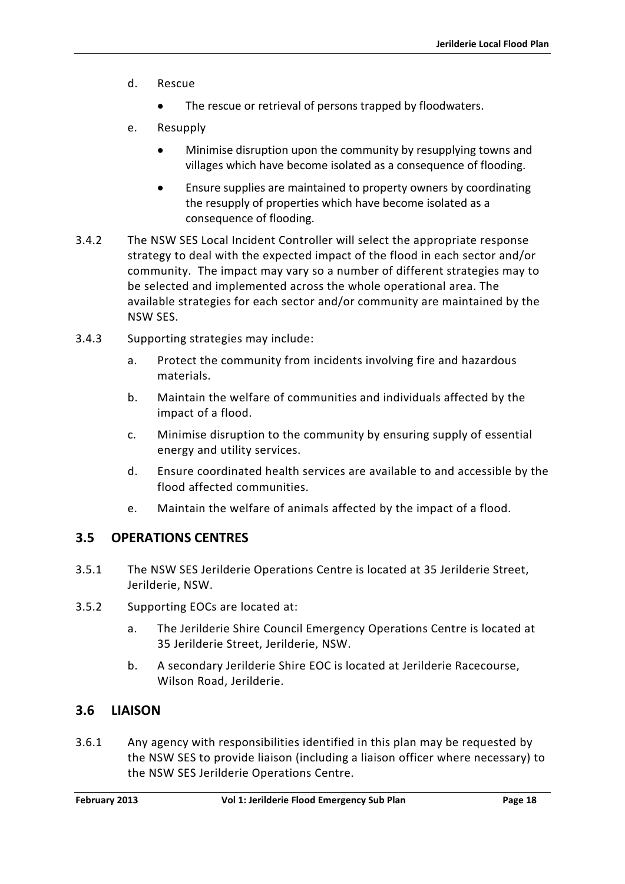- d. Rescue
	- The rescue or retrieval of persons trapped by floodwaters.
- e. Resupply
	- Minimise disruption upon the community by resupplying towns and villages which have become isolated as a consequence of flooding.
	- Ensure supplies are maintained to property owners by coordinating the resupply of properties which have become isolated as a consequence of flooding.
- 3.4.2 The NSW SES Local Incident Controller will select the appropriate response strategy to deal with the expected impact of the flood in each sector and/or community. The impact may vary so a number of different strategies may to be selected and implemented across the whole operational area. The available strategies for each sector and/or community are maintained by the NSW SES.
- 3.4.3 Supporting strategies may include:
	- a. Protect the community from incidents involving fire and hazardous materials.
	- b. Maintain the welfare of communities and individuals affected by the impact of a flood.
	- c. Minimise disruption to the community by ensuring supply of essential energy and utility services.
	- d. Ensure coordinated health services are available to and accessible by the flood affected communities.
	- e. Maintain the welfare of animals affected by the impact of a flood.

#### <span id="page-31-0"></span>**3.5 OPERATIONS CENTRES**

- 3.5.1 The NSW SES Jerilderie Operations Centre is located at 35 Jerilderie Street, Jerilderie, NSW.
- 3.5.2 Supporting EOCs are located at:
	- a. The Jerilderie Shire Council Emergency Operations Centre is located at 35 Jerilderie Street, Jerilderie, NSW.
	- b. A secondary Jerilderie Shire EOC is located at Jerilderie Racecourse, Wilson Road, Jerilderie.

# <span id="page-31-1"></span>**3.6 LIAISON**

3.6.1 Any agency with responsibilities identified in this plan may be requested by the NSW SES to provide liaison (including a liaison officer where necessary) to the NSW SES Jerilderie Operations Centre.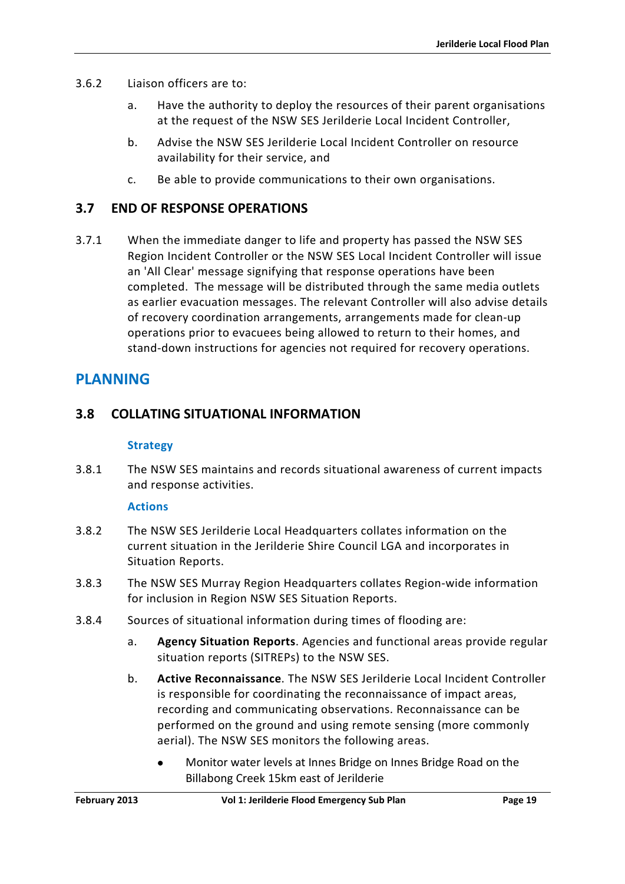- 3.6.2 Liaison officers are to:
	- a. Have the authority to deploy the resources of their parent organisations at the request of the NSW SES Jerilderie Local Incident Controller,
	- b. Advise the NSW SES Jerilderie Local Incident Controller on resource availability for their service, and
	- c. Be able to provide communications to their own organisations.

# <span id="page-32-0"></span>**3.7 END OF RESPONSE OPERATIONS**

3.7.1 When the immediate danger to life and property has passed the NSW SES Region Incident Controller or the NSW SES Local Incident Controller will issue an 'All Clear' message signifying that response operations have been completed. The message will be distributed through the same media outlets as earlier evacuation messages. The relevant Controller will also advise details of recovery coordination arrangements, arrangements made for clean-up operations prior to evacuees being allowed to return to their homes, and stand-down instructions for agencies not required for recovery operations.

# **PLANNING**

# <span id="page-32-1"></span>**3.8 COLLATING SITUATIONAL INFORMATION**

#### **Strategy**

3.8.1 The NSW SES maintains and records situational awareness of current impacts and response activities.

#### **Actions**

- 3.8.2 The NSW SES Jerilderie Local Headquarters collates information on the current situation in the Jerilderie Shire Council LGA and incorporates in Situation Reports.
- 3.8.3 The NSW SES Murray Region Headquarters collates Region-wide information for inclusion in Region NSW SES Situation Reports.
- 3.8.4 Sources of situational information during times of flooding are:
	- a. **Agency Situation Reports**. Agencies and functional areas provide regular situation reports (SITREPs) to the NSW SES.
	- b. **Active Reconnaissance**. The NSW SES Jerilderie Local Incident Controller is responsible for coordinating the reconnaissance of impact areas, recording and communicating observations. Reconnaissance can be performed on the ground and using remote sensing (more commonly aerial). The NSW SES monitors the following areas.
		- Monitor water levels at Innes Bridge on Innes Bridge Road on the Billabong Creek 15km east of Jerilderie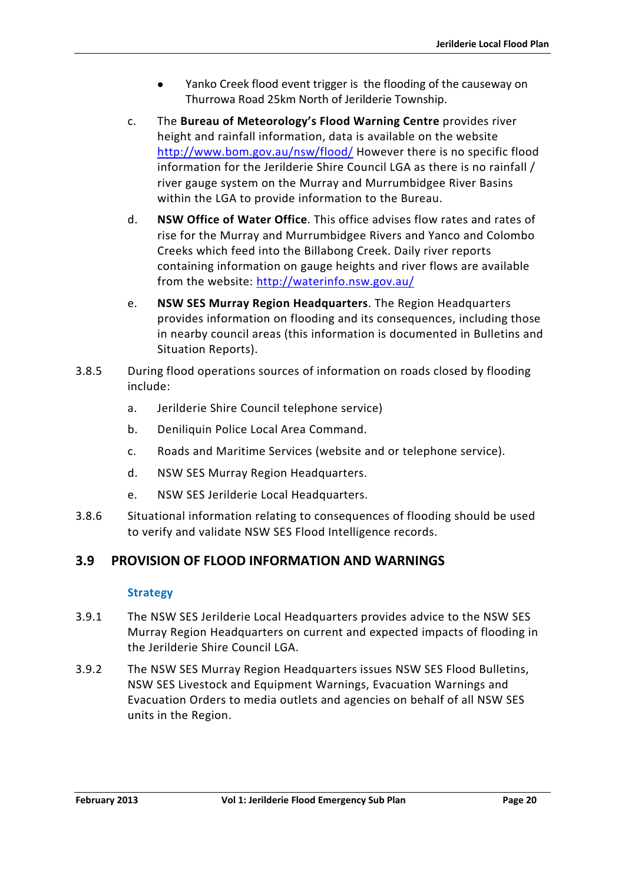- Yanko Creek flood event trigger is the flooding of the causeway on Thurrowa Road 25km North of Jerilderie Township.
- c. The **Bureau of Meteorology's Flood Warning Centre** provides river height and rainfall information, data is available on the website <http://www.bom.gov.au/nsw/flood/> However there is no specific flood information for the Jerilderie Shire Council LGA as there is no rainfall / river gauge system on the Murray and Murrumbidgee River Basins within the LGA to provide information to the Bureau.
- d. **NSW Office of Water Office**. This office advises flow rates and rates of rise for the Murray and Murrumbidgee Rivers and Yanco and Colombo Creeks which feed into the Billabong Creek. Daily river reports containing information on gauge heights and river flows are available from the website:<http://waterinfo.nsw.gov.au/>
- e. **NSW SES Murray Region Headquarters**. The Region Headquarters provides information on flooding and its consequences, including those in nearby council areas (this information is documented in Bulletins and Situation Reports).
- 3.8.5 During flood operations sources of information on roads closed by flooding include:
	- a. Jerilderie Shire Council telephone service)
	- b. Deniliquin Police Local Area Command.
	- c. Roads and Maritime Services (website and or telephone service).
	- d. NSW SES Murray Region Headquarters.
	- e. NSW SES Jerilderie Local Headquarters.
- 3.8.6 Situational information relating to consequences of flooding should be used to verify and validate NSW SES Flood Intelligence records.

# <span id="page-33-0"></span>**3.9 PROVISION OF FLOOD INFORMATION AND WARNINGS**

#### **Strategy**

- 3.9.1 The NSW SES Jerilderie Local Headquarters provides advice to the NSW SES Murray Region Headquarters on current and expected impacts of flooding in the Jerilderie Shire Council LGA.
- 3.9.2 The NSW SES Murray Region Headquarters issues NSW SES Flood Bulletins, NSW SES Livestock and Equipment Warnings, Evacuation Warnings and Evacuation Orders to media outlets and agencies on behalf of all NSW SES units in the Region.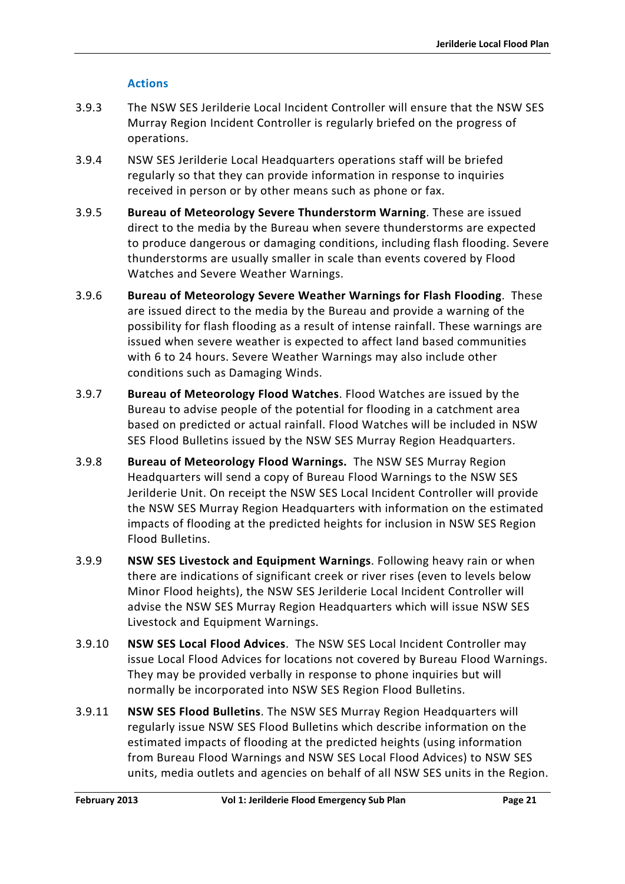### **Actions**

- 3.9.3 The NSW SES Jerilderie Local Incident Controller will ensure that the NSW SES Murray Region Incident Controller is regularly briefed on the progress of operations.
- 3.9.4 NSW SES Jerilderie Local Headquarters operations staff will be briefed regularly so that they can provide information in response to inquiries received in person or by other means such as phone or fax.
- 3.9.5 **Bureau of Meteorology Severe Thunderstorm Warning**. These are issued direct to the media by the Bureau when severe thunderstorms are expected to produce dangerous or damaging conditions, including flash flooding. Severe thunderstorms are usually smaller in scale than events covered by Flood Watches and Severe Weather Warnings.
- 3.9.6 **Bureau of Meteorology Severe Weather Warnings for Flash Flooding**. These are issued direct to the media by the Bureau and provide a warning of the possibility for flash flooding as a result of intense rainfall. These warnings are issued when severe weather is expected to affect land based communities with 6 to 24 hours. Severe Weather Warnings may also include other conditions such as Damaging Winds.
- 3.9.7 **Bureau of Meteorology Flood Watches**. Flood Watches are issued by the Bureau to advise people of the potential for flooding in a catchment area based on predicted or actual rainfall. Flood Watches will be included in NSW SES Flood Bulletins issued by the NSW SES Murray Region Headquarters.
- 3.9.8 **Bureau of Meteorology Flood Warnings.** The NSW SES Murray Region Headquarters will send a copy of Bureau Flood Warnings to the NSW SES Jerilderie Unit. On receipt the NSW SES Local Incident Controller will provide the NSW SES Murray Region Headquarters with information on the estimated impacts of flooding at the predicted heights for inclusion in NSW SES Region Flood Bulletins.
- 3.9.9 **NSW SES Livestock and Equipment Warnings**. Following heavy rain or when there are indications of significant creek or river rises (even to levels below Minor Flood heights), the NSW SES Jerilderie Local Incident Controller will advise the NSW SES Murray Region Headquarters which will issue NSW SES Livestock and Equipment Warnings.
- 3.9.10 **NSW SES Local Flood Advices**. The NSW SES Local Incident Controller may issue Local Flood Advices for locations not covered by Bureau Flood Warnings. They may be provided verbally in response to phone inquiries but will normally be incorporated into NSW SES Region Flood Bulletins.
- 3.9.11 **NSW SES Flood Bulletins**. The NSW SES Murray Region Headquarters will regularly issue NSW SES Flood Bulletins which describe information on the estimated impacts of flooding at the predicted heights (using information from Bureau Flood Warnings and NSW SES Local Flood Advices) to NSW SES units, media outlets and agencies on behalf of all NSW SES units in the Region.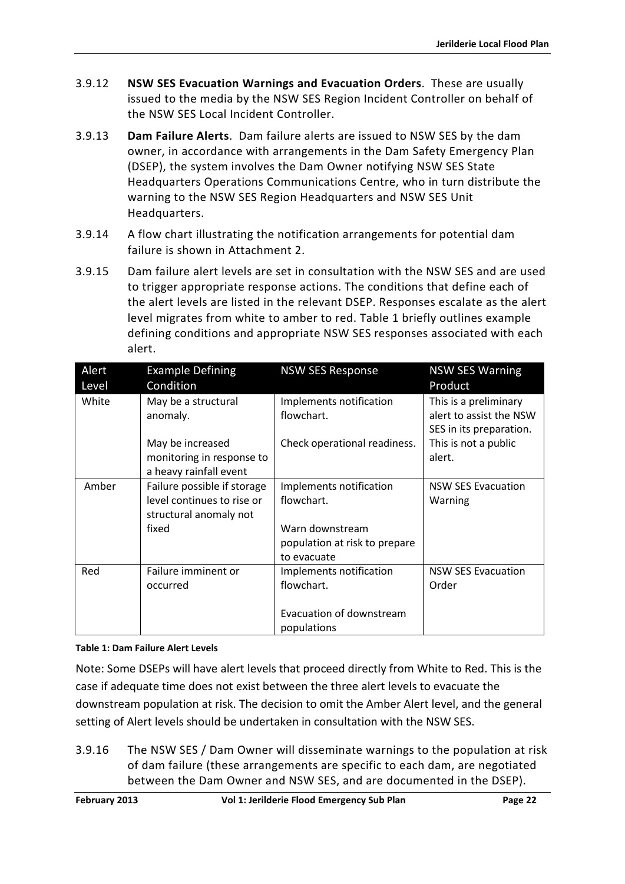- 3.9.12 **NSW SES Evacuation Warnings and Evacuation Orders**. These are usually issued to the media by the NSW SES Region Incident Controller on behalf of the NSW SES Local Incident Controller.
- 3.9.13 **Dam Failure Alerts**. Dam failure alerts are issued to NSW SES by the dam owner, in accordance with arrangements in the Dam Safety Emergency Plan (DSEP), the system involves the Dam Owner notifying NSW SES State Headquarters Operations Communications Centre, who in turn distribute the warning to the NSW SES Region Headquarters and NSW SES Unit Headquarters.
- 3.9.14 A flow chart illustrating the notification arrangements for potential dam failure is shown in Attachment 2.
- 3.9.15 Dam failure alert levels are set in consultation with the NSW SES and are used to trigger appropriate response actions. The conditions that define each of the alert levels are listed in the relevant DSEP. Responses escalate as the alert level migrates from white to amber to red. Table 1 briefly outlines example defining conditions and appropriate NSW SES responses associated with each alert.

| Alert<br>Level | <b>Example Defining</b><br>Condition                                                         | <b>NSW SES Response</b>                                  | <b>NSW SES Warning</b><br>Product                                           |
|----------------|----------------------------------------------------------------------------------------------|----------------------------------------------------------|-----------------------------------------------------------------------------|
| White          | May be a structural<br>anomaly.                                                              | Implements notification<br>flowchart.                    | This is a preliminary<br>alert to assist the NSW<br>SES in its preparation. |
|                | May be increased<br>monitoring in response to<br>a heavy rainfall event                      | Check operational readiness.                             | This is not a public<br>alert.                                              |
| Amber          | Failure possible if storage<br>level continues to rise or<br>structural anomaly not<br>fixed | Implements notification<br>flowchart.<br>Warn downstream | <b>NSW SES Evacuation</b><br>Warning                                        |
|                |                                                                                              | population at risk to prepare<br>to evacuate             |                                                                             |
| Red            | Failure imminent or<br>occurred                                                              | Implements notification<br>flowchart.                    | <b>NSW SES Evacuation</b><br>Order                                          |
|                |                                                                                              | Evacuation of downstream<br>populations                  |                                                                             |

#### <span id="page-35-0"></span>**Table 1: Dam Failure Alert Levels**

Note: Some DSEPs will have alert levels that proceed directly from White to Red. This is the case if adequate time does not exist between the three alert levels to evacuate the downstream population at risk. The decision to omit the Amber Alert level, and the general setting of Alert levels should be undertaken in consultation with the NSW SES.

3.9.16 The NSW SES / Dam Owner will disseminate warnings to the population at risk of dam failure (these arrangements are specific to each dam, are negotiated between the Dam Owner and NSW SES, and are documented in the DSEP).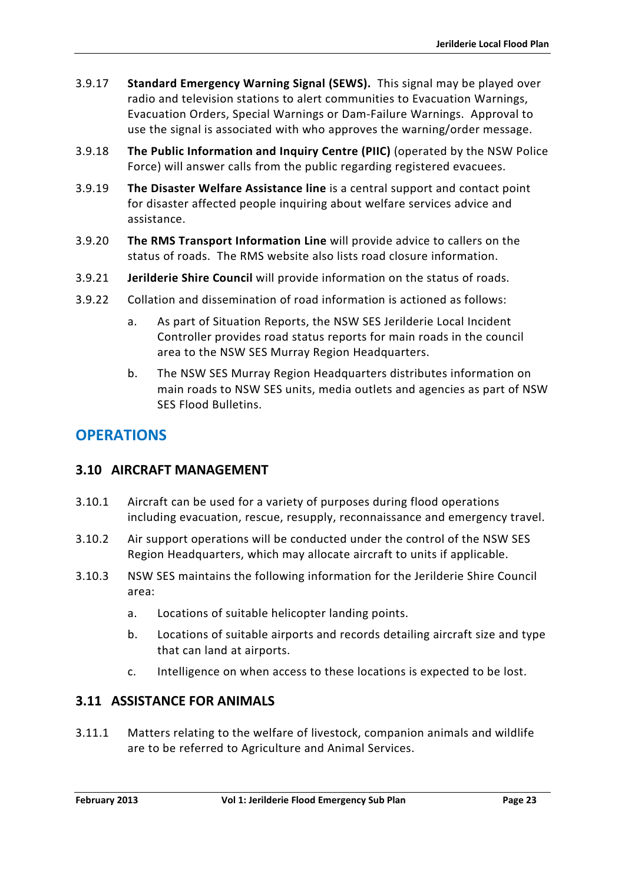- 3.9.17 **Standard Emergency Warning Signal (SEWS).** This signal may be played over radio and television stations to alert communities to Evacuation Warnings, Evacuation Orders, Special Warnings or Dam-Failure Warnings. Approval to use the signal is associated with who approves the warning/order message.
- 3.9.18 **The Public Information and Inquiry Centre (PIIC)** (operated by the NSW Police Force) will answer calls from the public regarding registered evacuees.
- 3.9.19 **The Disaster Welfare Assistance line** is a central support and contact point for disaster affected people inquiring about welfare services advice and assistance.
- 3.9.20 **The RMS Transport Information Line** will provide advice to callers on the status of roads. The RMS website also lists road closure information.
- 3.9.21 **Jerilderie Shire Council** will provide information on the status of roads.
- 3.9.22 Collation and dissemination of road information is actioned as follows:
	- a. As part of Situation Reports, the NSW SES Jerilderie Local Incident Controller provides road status reports for main roads in the council area to the NSW SES Murray Region Headquarters.
	- b. The NSW SES Murray Region Headquarters distributes information on main roads to NSW SES units, media outlets and agencies as part of NSW SES Flood Bulletins.

# **OPERATIONS**

# <span id="page-36-0"></span>**3.10 AIRCRAFT MANAGEMENT**

- 3.10.1 Aircraft can be used for a variety of purposes during flood operations including evacuation, rescue, resupply, reconnaissance and emergency travel.
- 3.10.2 Air support operations will be conducted under the control of the NSW SES Region Headquarters, which may allocate aircraft to units if applicable.
- 3.10.3 NSW SES maintains the following information for the Jerilderie Shire Council area:
	- a. Locations of suitable helicopter landing points.
	- b. Locations of suitable airports and records detailing aircraft size and type that can land at airports.
	- c. Intelligence on when access to these locations is expected to be lost.

# <span id="page-36-1"></span>**3.11 ASSISTANCE FOR ANIMALS**

3.11.1 Matters relating to the welfare of livestock, companion animals and wildlife are to be referred to Agriculture and Animal Services.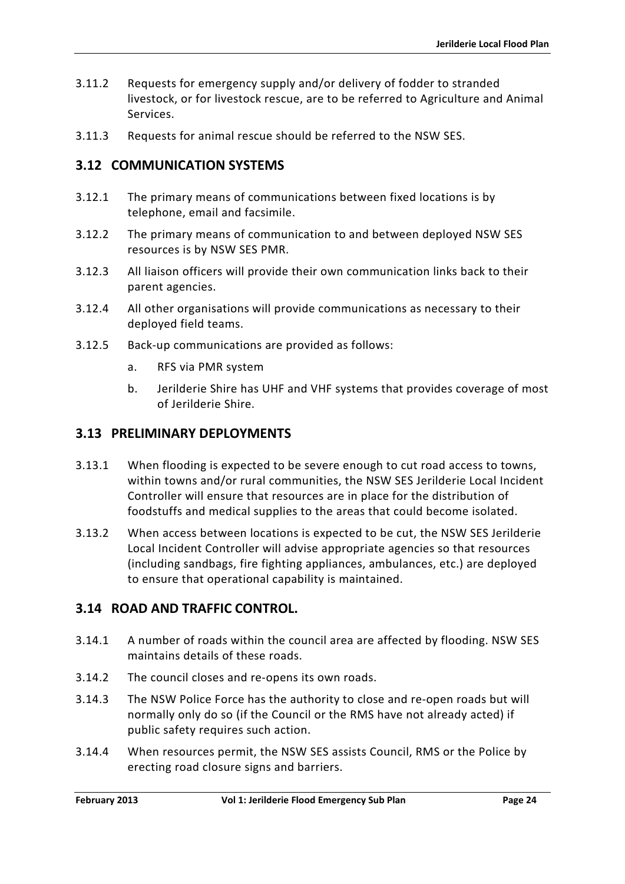- 3.11.2 Requests for emergency supply and/or delivery of fodder to stranded livestock, or for livestock rescue, are to be referred to Agriculture and Animal Services.
- 3.11.3 Requests for animal rescue should be referred to the NSW SES.

# <span id="page-37-0"></span>**3.12 COMMUNICATION SYSTEMS**

- 3.12.1 The primary means of communications between fixed locations is by telephone, email and facsimile.
- 3.12.2 The primary means of communication to and between deployed NSW SES resources is by NSW SES PMR.
- 3.12.3 All liaison officers will provide their own communication links back to their parent agencies.
- 3.12.4 All other organisations will provide communications as necessary to their deployed field teams.
- 3.12.5 Back-up communications are provided as follows:
	- a. RFS via PMR system
	- b. Jerilderie Shire has UHF and VHF systems that provides coverage of most of Jerilderie Shire.

### <span id="page-37-1"></span>**3.13 PRELIMINARY DEPLOYMENTS**

- 3.13.1 When flooding is expected to be severe enough to cut road access to towns, within towns and/or rural communities, the NSW SES Jerilderie Local Incident Controller will ensure that resources are in place for the distribution of foodstuffs and medical supplies to the areas that could become isolated.
- 3.13.2 When access between locations is expected to be cut, the NSW SES Jerilderie Local Incident Controller will advise appropriate agencies so that resources (including sandbags, fire fighting appliances, ambulances, etc.) are deployed to ensure that operational capability is maintained.

# <span id="page-37-2"></span>**3.14 ROAD AND TRAFFIC CONTROL.**

- 3.14.1 A number of roads within the council area are affected by flooding. NSW SES maintains details of these roads.
- 3.14.2 The council closes and re-opens its own roads.
- 3.14.3 The NSW Police Force has the authority to close and re-open roads but will normally only do so (if the Council or the RMS have not already acted) if public safety requires such action.
- 3.14.4 When resources permit, the NSW SES assists Council, RMS or the Police by erecting road closure signs and barriers.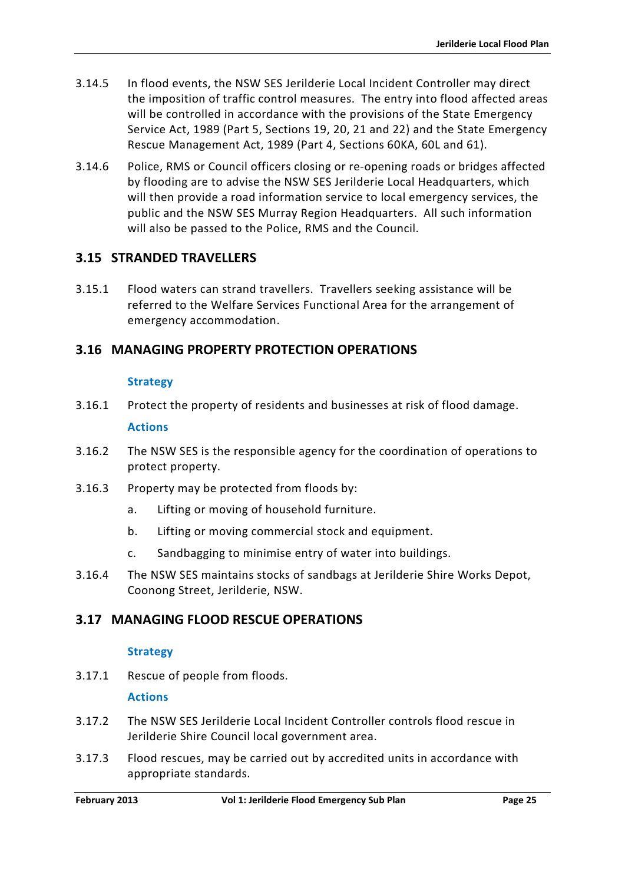- 3.14.5 In flood events, the NSW SES Jerilderie Local Incident Controller may direct the imposition of traffic control measures. The entry into flood affected areas will be controlled in accordance with the provisions of the State Emergency Service Act, 1989 (Part 5, Sections 19, 20, 21 and 22) and the State Emergency Rescue Management Act, 1989 (Part 4, Sections 60KA, 60L and 61).
- 3.14.6 Police, RMS or Council officers closing or re-opening roads or bridges affected by flooding are to advise the NSW SES Jerilderie Local Headquarters, which will then provide a road information service to local emergency services, the public and the NSW SES Murray Region Headquarters. All such information will also be passed to the Police, RMS and the Council.

# <span id="page-38-0"></span>**3.15 STRANDED TRAVELLERS**

3.15.1 Flood waters can strand travellers. Travellers seeking assistance will be referred to the Welfare Services Functional Area for the arrangement of emergency accommodation.

# <span id="page-38-1"></span>**3.16 MANAGING PROPERTY PROTECTION OPERATIONS**

#### **Strategy**

- 3.16.1 Protect the property of residents and businesses at risk of flood damage. **Actions**
- 3.16.2 The NSW SES is the responsible agency for the coordination of operations to protect property.
- 3.16.3 Property may be protected from floods by:
	- a. Lifting or moving of household furniture.
	- b. Lifting or moving commercial stock and equipment.
	- c. Sandbagging to minimise entry of water into buildings.
- 3.16.4 The NSW SES maintains stocks of sandbags at Jerilderie Shire Works Depot, Coonong Street, Jerilderie, NSW.

# <span id="page-38-2"></span>**3.17 MANAGING FLOOD RESCUE OPERATIONS**

#### **Strategy**

3.17.1 Rescue of people from floods.

#### **Actions**

- 3.17.2 The NSW SES Jerilderie Local Incident Controller controls flood rescue in Jerilderie Shire Council local government area.
- 3.17.3 Flood rescues, may be carried out by accredited units in accordance with appropriate standards.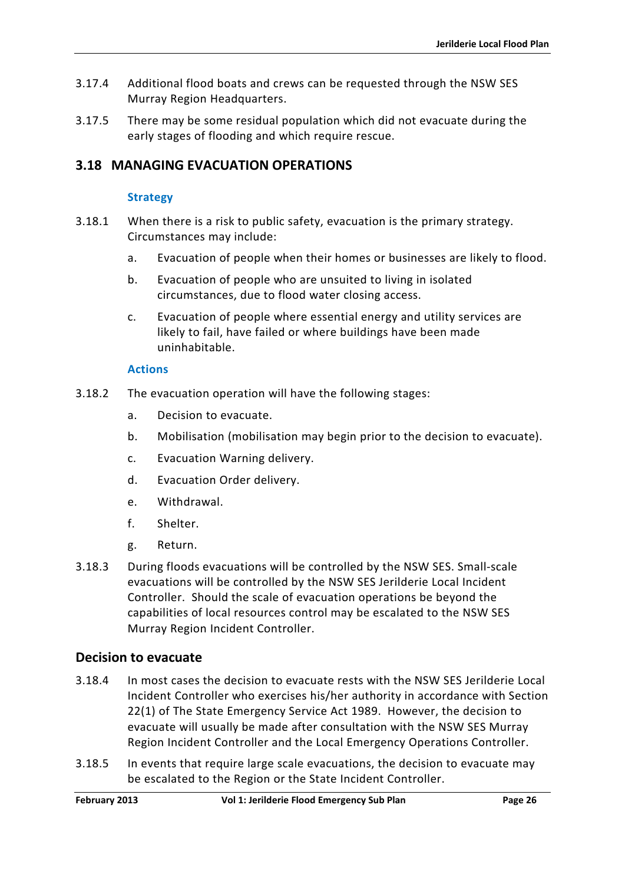- 3.17.4 Additional flood boats and crews can be requested through the NSW SES Murray Region Headquarters.
- 3.17.5 There may be some residual population which did not evacuate during the early stages of flooding and which require rescue.

# <span id="page-39-0"></span>**3.18 MANAGING EVACUATION OPERATIONS**

### **Strategy**

- 3.18.1 When there is a risk to public safety, evacuation is the primary strategy. Circumstances may include:
	- a. Evacuation of people when their homes or businesses are likely to flood.
	- b. Evacuation of people who are unsuited to living in isolated circumstances, due to flood water closing access.
	- c. Evacuation of people where essential energy and utility services are likely to fail, have failed or where buildings have been made uninhabitable.

#### **Actions**

- 3.18.2 The evacuation operation will have the following stages:
	- a. Decision to evacuate.
	- b. Mobilisation (mobilisation may begin prior to the decision to evacuate).
	- c. Evacuation Warning delivery.
	- d. Evacuation Order delivery.
	- e. Withdrawal.
	- f. Shelter.
	- g. Return.
- 3.18.3 During floods evacuations will be controlled by the NSW SES. Small-scale evacuations will be controlled by the NSW SES Jerilderie Local Incident Controller. Should the scale of evacuation operations be beyond the capabilities of local resources control may be escalated to the NSW SES Murray Region Incident Controller.

# **Decision to evacuate**

- 3.18.4 In most cases the decision to evacuate rests with the NSW SES Jerilderie Local Incident Controller who exercises his/her authority in accordance with Section 22(1) of The State Emergency Service Act 1989. However, the decision to evacuate will usually be made after consultation with the NSW SES Murray Region Incident Controller and the Local Emergency Operations Controller.
- 3.18.5 In events that require large scale evacuations, the decision to evacuate may be escalated to the Region or the State Incident Controller.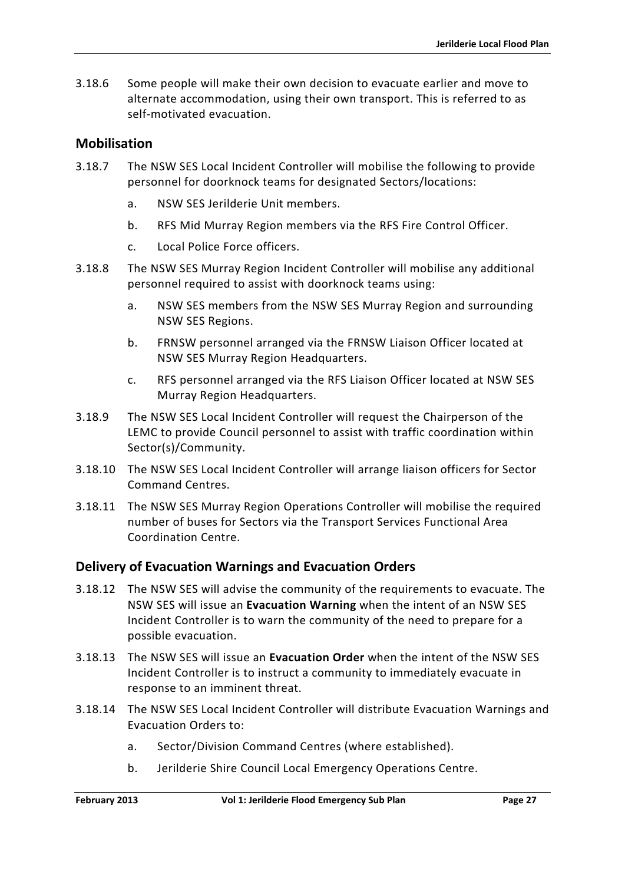3.18.6 Some people will make their own decision to evacuate earlier and move to alternate accommodation, using their own transport. This is referred to as self-motivated evacuation.

### **Mobilisation**

- 3.18.7 The NSW SES Local Incident Controller will mobilise the following to provide personnel for doorknock teams for designated Sectors/locations:
	- a. NSW SES Jerilderie Unit members.
	- b. RFS Mid Murray Region members via the RFS Fire Control Officer.
	- c. Local Police Force officers.
- 3.18.8 The NSW SES Murray Region Incident Controller will mobilise any additional personnel required to assist with doorknock teams using:
	- a. NSW SES members from the NSW SES Murray Region and surrounding NSW SES Regions.
	- b. FRNSW personnel arranged via the FRNSW Liaison Officer located at NSW SES Murray Region Headquarters.
	- c. RFS personnel arranged via the RFS Liaison Officer located at NSW SES Murray Region Headquarters.
- 3.18.9 The NSW SES Local Incident Controller will request the Chairperson of the LEMC to provide Council personnel to assist with traffic coordination within Sector(s)/Community.
- 3.18.10 The NSW SES Local Incident Controller will arrange liaison officers for Sector Command Centres.
- 3.18.11 The NSW SES Murray Region Operations Controller will mobilise the required number of buses for Sectors via the Transport Services Functional Area Coordination Centre.

# **Delivery of Evacuation Warnings and Evacuation Orders**

- 3.18.12 The NSW SES will advise the community of the requirements to evacuate. The NSW SES will issue an **Evacuation Warning** when the intent of an NSW SES Incident Controller is to warn the community of the need to prepare for a possible evacuation.
- 3.18.13 The NSW SES will issue an **Evacuation Order** when the intent of the NSW SES Incident Controller is to instruct a community to immediately evacuate in response to an imminent threat.
- 3.18.14 The NSW SES Local Incident Controller will distribute Evacuation Warnings and Evacuation Orders to:
	- a. Sector/Division Command Centres (where established).
	- b. Jerilderie Shire Council Local Emergency Operations Centre.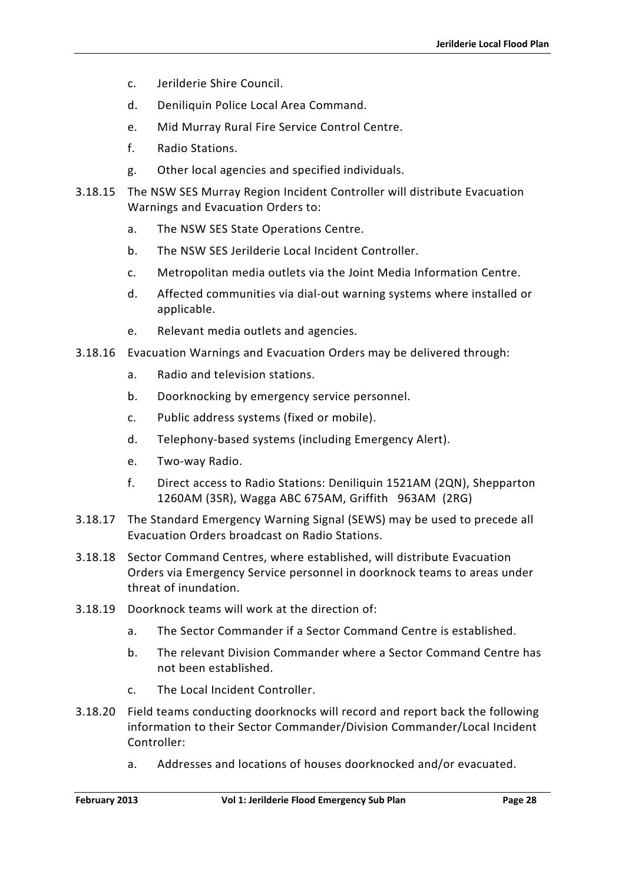- c. Jerilderie Shire Council.
- d. Deniliquin Police Local Area Command.
- e. Mid Murray Rural Fire Service Control Centre.
- f. Radio Stations.
- g. Other local agencies and specified individuals.
- 3.18.15 The NSW SES Murray Region Incident Controller will distribute Evacuation Warnings and Evacuation Orders to:
	- a. The NSW SES State Operations Centre.
	- b. The NSW SES Jerilderie Local Incident Controller.
	- c. Metropolitan media outlets via the Joint Media Information Centre.
	- d. Affected communities via dial-out warning systems where installed or applicable.
	- e. Relevant media outlets and agencies.
- 3.18.16 Evacuation Warnings and Evacuation Orders may be delivered through:
	- a. Radio and television stations.
	- b. Doorknocking by emergency service personnel.
	- c. Public address systems (fixed or mobile).
	- d. Telephony-based systems (including Emergency Alert).
	- e. Two-way Radio.
	- f. Direct access to Radio Stations: Deniliquin 1521AM (2QN), Shepparton 1260AM (3SR), Wagga ABC 675AM, Griffith 963AM (2RG)
- 3.18.17 The Standard Emergency Warning Signal (SEWS) may be used to precede all Evacuation Orders broadcast on Radio Stations.
- 3.18.18 Sector Command Centres, where established, will distribute Evacuation Orders via Emergency Service personnel in doorknock teams to areas under threat of inundation.
- 3.18.19 Doorknock teams will work at the direction of:
	- a. The Sector Commander if a Sector Command Centre is established.
	- b. The relevant Division Commander where a Sector Command Centre has not been established.
	- c. The Local Incident Controller.
- 3.18.20 Field teams conducting doorknocks will record and report back the following information to their Sector Commander/Division Commander/Local Incident Controller:
	- a. Addresses and locations of houses doorknocked and/or evacuated.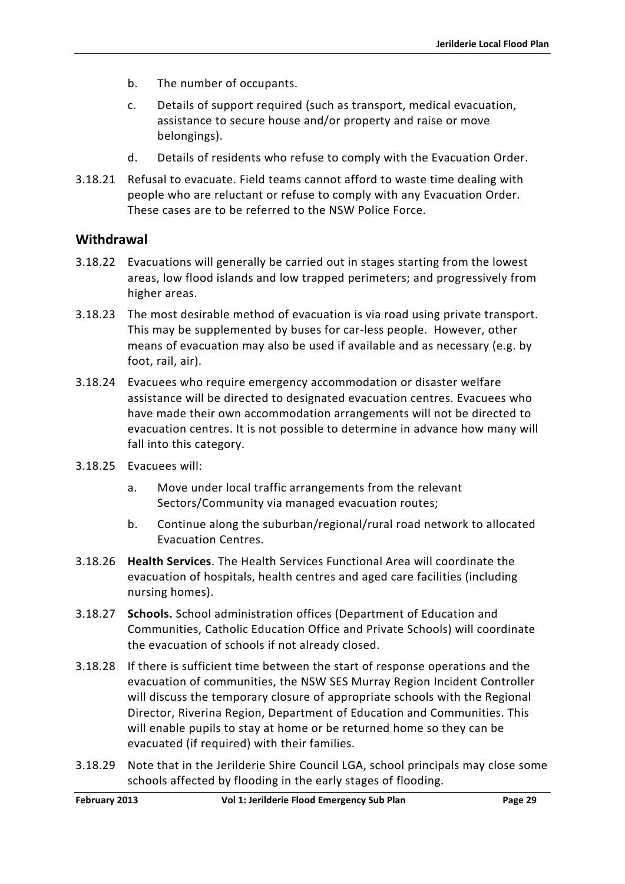- b. The number of occupants.
- c. Details of support required (such as transport, medical evacuation, assistance to secure house and/or property and raise or move belongings).
- d. Details of residents who refuse to comply with the Evacuation Order.
- 3.18.21 Refusal to evacuate. Field teams cannot afford to waste time dealing with people who are reluctant or refuse to comply with any Evacuation Order. These cases are to be referred to the NSW Police Force.

### **Withdrawal**

- 3.18.22 Evacuations will generally be carried out in stages starting from the lowest areas, low flood islands and low trapped perimeters; and progressively from higher areas.
- 3.18.23 The most desirable method of evacuation is via road using private transport. This may be supplemented by buses for car-less people. However, other means of evacuation may also be used if available and as necessary (e.g. by foot, rail, air).
- 3.18.24 Evacuees who require emergency accommodation or disaster welfare assistance will be directed to designated evacuation centres. Evacuees who have made their own accommodation arrangements will not be directed to evacuation centres. It is not possible to determine in advance how many will fall into this category.
- 3.18.25 Evacuees will:
	- a. Move under local traffic arrangements from the relevant Sectors/Community via managed evacuation routes;
	- b. Continue along the suburban/regional/rural road network to allocated Evacuation Centres.
- 3.18.26 **Health Services**. The Health Services Functional Area will coordinate the evacuation of hospitals, health centres and aged care facilities (including nursing homes).
- 3.18.27 **Schools.** School administration offices (Department of Education and Communities, Catholic Education Office and Private Schools) will coordinate the evacuation of schools if not already closed.
- 3.18.28 If there is sufficient time between the start of response operations and the evacuation of communities, the NSW SES Murray Region Incident Controller will discuss the temporary closure of appropriate schools with the Regional Director, Riverina Region, Department of Education and Communities. This will enable pupils to stay at home or be returned home so they can be evacuated (if required) with their families.
- 3.18.29 Note that in the Jerilderie Shire Council LGA, school principals may close some schools affected by flooding in the early stages of flooding.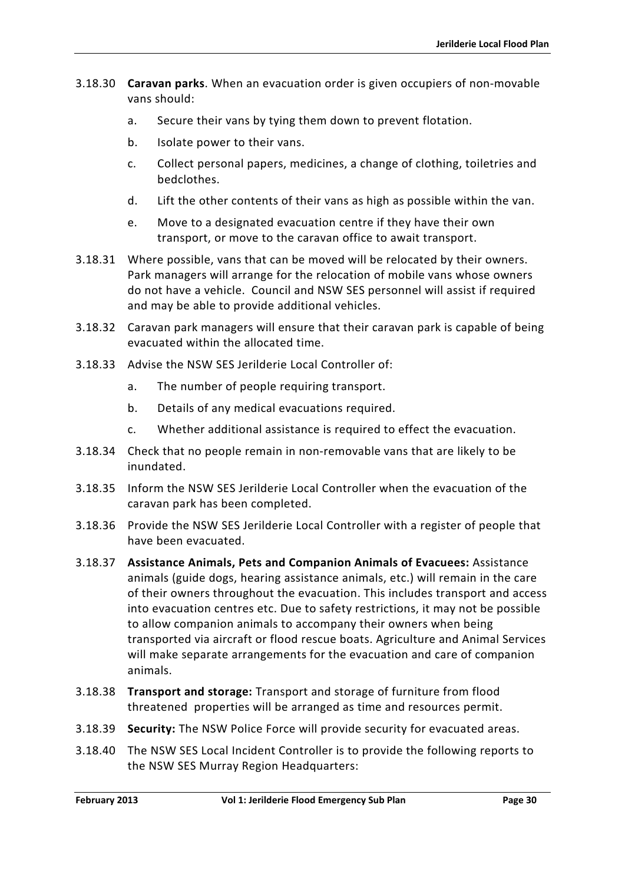- 3.18.30 **Caravan parks**. When an evacuation order is given occupiers of non-movable vans should:
	- a. Secure their vans by tying them down to prevent flotation.
	- b. Isolate power to their vans.
	- c. Collect personal papers, medicines, a change of clothing, toiletries and bedclothes.
	- d. Lift the other contents of their vans as high as possible within the van.
	- e. Move to a designated evacuation centre if they have their own transport, or move to the caravan office to await transport.
- 3.18.31 Where possible, vans that can be moved will be relocated by their owners. Park managers will arrange for the relocation of mobile vans whose owners do not have a vehicle. Council and NSW SES personnel will assist if required and may be able to provide additional vehicles.
- 3.18.32 Caravan park managers will ensure that their caravan park is capable of being evacuated within the allocated time.
- 3.18.33 Advise the NSW SES Jerilderie Local Controller of:
	- a. The number of people requiring transport.
	- b. Details of any medical evacuations required.
	- c. Whether additional assistance is required to effect the evacuation.
- 3.18.34 Check that no people remain in non-removable vans that are likely to be inundated.
- 3.18.35 Inform the NSW SES Jerilderie Local Controller when the evacuation of the caravan park has been completed.
- 3.18.36 Provide the NSW SES Jerilderie Local Controller with a register of people that have been evacuated.
- 3.18.37 **Assistance Animals, Pets and Companion Animals of Evacuees:** Assistance animals (guide dogs, hearing assistance animals, etc.) will remain in the care of their owners throughout the evacuation. This includes transport and access into evacuation centres etc. Due to safety restrictions, it may not be possible to allow companion animals to accompany their owners when being transported via aircraft or flood rescue boats. Agriculture and Animal Services will make separate arrangements for the evacuation and care of companion animals.
- 3.18.38 **Transport and storage:** Transport and storage of furniture from flood threatened properties will be arranged as time and resources permit.
- 3.18.39 **Security:** The NSW Police Force will provide security for evacuated areas.
- 3.18.40 The NSW SES Local Incident Controller is to provide the following reports to the NSW SES Murray Region Headquarters: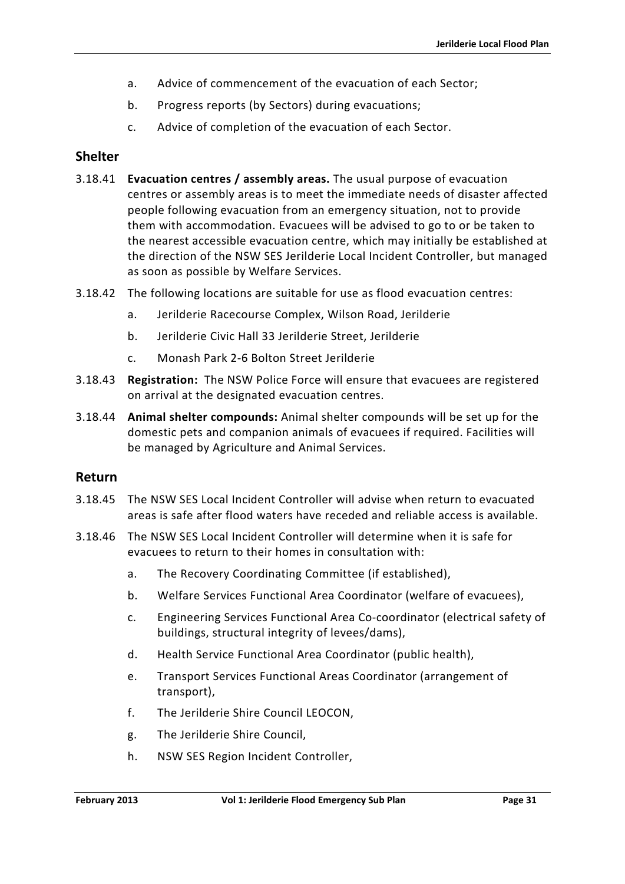- a. Advice of commencement of the evacuation of each Sector;
- b. Progress reports (by Sectors) during evacuations;
- c. Advice of completion of the evacuation of each Sector.

# **Shelter**

- 3.18.41 **Evacuation centres / assembly areas.** The usual purpose of evacuation centres or assembly areas is to meet the immediate needs of disaster affected people following evacuation from an emergency situation, not to provide them with accommodation. Evacuees will be advised to go to or be taken to the nearest accessible evacuation centre, which may initially be established at the direction of the NSW SES Jerilderie Local Incident Controller, but managed as soon as possible by Welfare Services.
- 3.18.42 The following locations are suitable for use as flood evacuation centres:
	- a. Jerilderie Racecourse Complex, Wilson Road, Jerilderie
	- b. Jerilderie Civic Hall 33 Jerilderie Street, Jerilderie
	- c. Monash Park 2-6 Bolton Street Jerilderie
- 3.18.43 **Registration:** The NSW Police Force will ensure that evacuees are registered on arrival at the designated evacuation centres.
- 3.18.44 **Animal shelter compounds:** Animal shelter compounds will be set up for the domestic pets and companion animals of evacuees if required. Facilities will be managed by Agriculture and Animal Services.

#### **Return**

- 3.18.45 The NSW SES Local Incident Controller will advise when return to evacuated areas is safe after flood waters have receded and reliable access is available.
- 3.18.46 The NSW SES Local Incident Controller will determine when it is safe for evacuees to return to their homes in consultation with:
	- a. The Recovery Coordinating Committee (if established),
	- b. Welfare Services Functional Area Coordinator (welfare of evacuees),
	- c. Engineering Services Functional Area Co-coordinator (electrical safety of buildings, structural integrity of levees/dams),
	- d. Health Service Functional Area Coordinator (public health),
	- e. Transport Services Functional Areas Coordinator (arrangement of transport),
	- f. The Jerilderie Shire Council LEOCON,
	- g. The Jerilderie Shire Council,
	- h. NSW SES Region Incident Controller,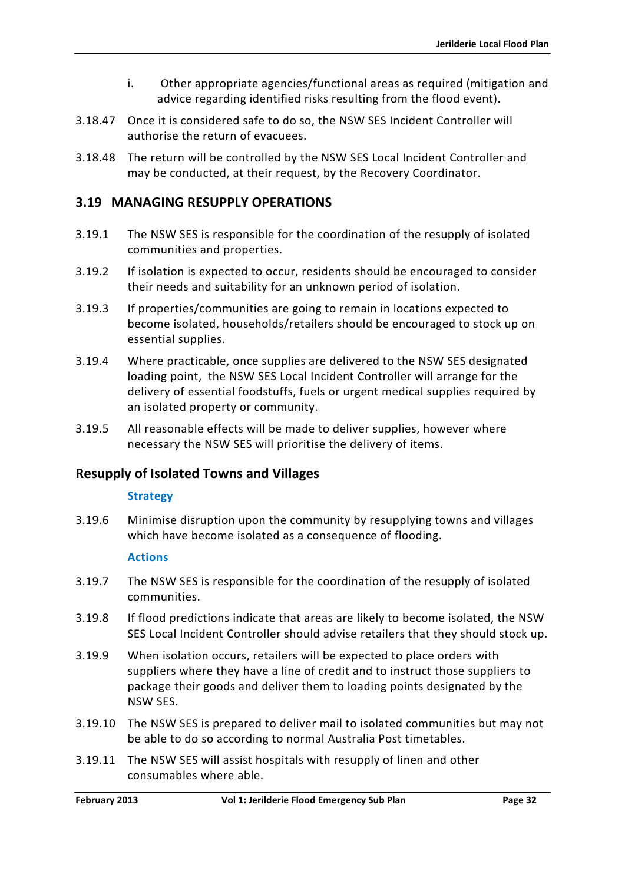- i. Other appropriate agencies/functional areas as required (mitigation and advice regarding identified risks resulting from the flood event).
- 3.18.47 Once it is considered safe to do so, the NSW SES Incident Controller will authorise the return of evacuees.
- 3.18.48 The return will be controlled by the NSW SES Local Incident Controller and may be conducted, at their request, by the Recovery Coordinator.

# <span id="page-45-0"></span>**3.19 MANAGING RESUPPLY OPERATIONS**

- 3.19.1 The NSW SES is responsible for the coordination of the resupply of isolated communities and properties.
- 3.19.2 If isolation is expected to occur, residents should be encouraged to consider their needs and suitability for an unknown period of isolation.
- 3.19.3 If properties/communities are going to remain in locations expected to become isolated, households/retailers should be encouraged to stock up on essential supplies.
- 3.19.4 Where practicable, once supplies are delivered to the NSW SES designated loading point, the NSW SES Local Incident Controller will arrange for the delivery of essential foodstuffs, fuels or urgent medical supplies required by an isolated property or community.
- 3.19.5 All reasonable effects will be made to deliver supplies, however where necessary the NSW SES will prioritise the delivery of items.

# **Resupply of Isolated Towns and Villages**

#### **Strategy**

3.19.6 Minimise disruption upon the community by resupplying towns and villages which have become isolated as a consequence of flooding.

#### **Actions**

- 3.19.7 The NSW SES is responsible for the coordination of the resupply of isolated communities.
- 3.19.8 If flood predictions indicate that areas are likely to become isolated, the NSW SES Local Incident Controller should advise retailers that they should stock up.
- 3.19.9 When isolation occurs, retailers will be expected to place orders with suppliers where they have a line of credit and to instruct those suppliers to package their goods and deliver them to loading points designated by the NSW SES.
- 3.19.10 The NSW SES is prepared to deliver mail to isolated communities but may not be able to do so according to normal Australia Post timetables.
- 3.19.11 The NSW SES will assist hospitals with resupply of linen and other consumables where able.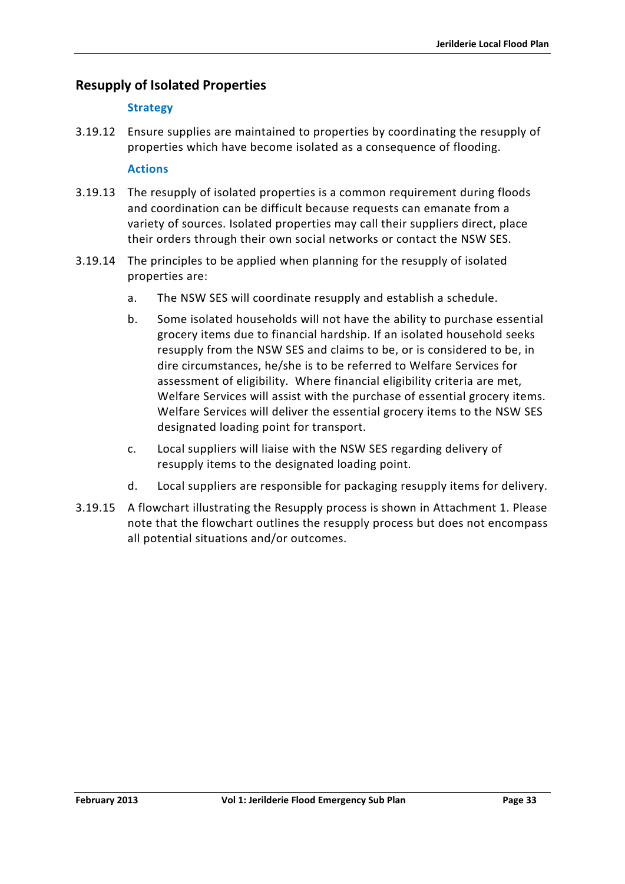# **Resupply of Isolated Properties**

### **Strategy**

3.19.12 Ensure supplies are maintained to properties by coordinating the resupply of properties which have become isolated as a consequence of flooding.

#### **Actions**

- 3.19.13 The resupply of isolated properties is a common requirement during floods and coordination can be difficult because requests can emanate from a variety of sources. Isolated properties may call their suppliers direct, place their orders through their own social networks or contact the NSW SES.
- 3.19.14 The principles to be applied when planning for the resupply of isolated properties are:
	- a. The NSW SES will coordinate resupply and establish a schedule.
	- b. Some isolated households will not have the ability to purchase essential grocery items due to financial hardship. If an isolated household seeks resupply from the NSW SES and claims to be, or is considered to be, in dire circumstances, he/she is to be referred to Welfare Services for assessment of eligibility. Where financial eligibility criteria are met, Welfare Services will assist with the purchase of essential grocery items. Welfare Services will deliver the essential grocery items to the NSW SES designated loading point for transport.
	- c. Local suppliers will liaise with the NSW SES regarding delivery of resupply items to the designated loading point.
	- d. Local suppliers are responsible for packaging resupply items for delivery.
- 3.19.15 A flowchart illustrating the Resupply process is shown in Attachment 1. Please note that the flowchart outlines the resupply process but does not encompass all potential situations and/or outcomes.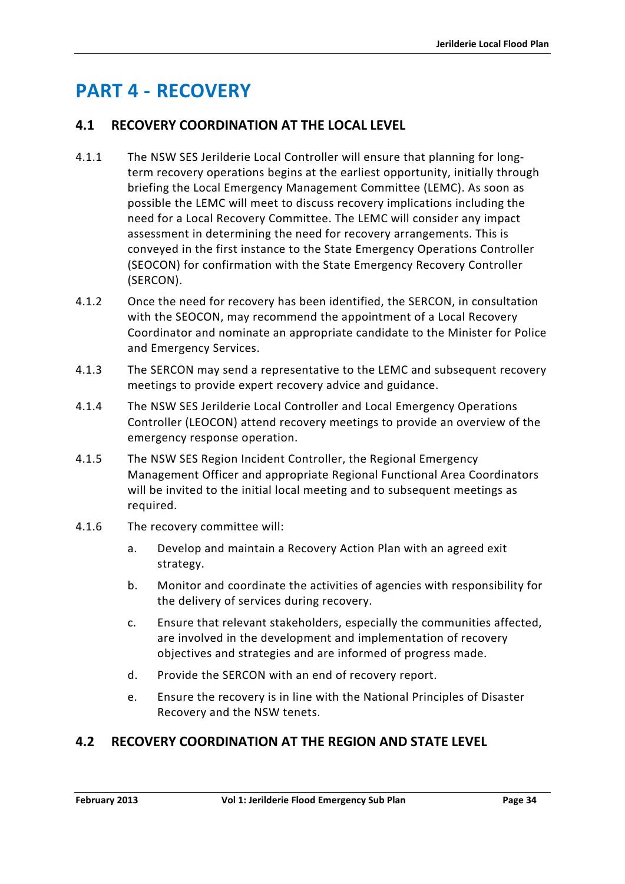# <span id="page-47-0"></span>**PART 4 - RECOVERY**

# <span id="page-47-1"></span>**4.1 RECOVERY COORDINATION AT THE LOCAL LEVEL**

- 4.1.1 The NSW SES Jerilderie Local Controller will ensure that planning for longterm recovery operations begins at the earliest opportunity, initially through briefing the Local Emergency Management Committee (LEMC). As soon as possible the LEMC will meet to discuss recovery implications including the need for a Local Recovery Committee. The LEMC will consider any impact assessment in determining the need for recovery arrangements. This is conveyed in the first instance to the State Emergency Operations Controller (SEOCON) for confirmation with the State Emergency Recovery Controller (SERCON).
- 4.1.2 Once the need for recovery has been identified, the SERCON, in consultation with the SEOCON, may recommend the appointment of a Local Recovery Coordinator and nominate an appropriate candidate to the Minister for Police and Emergency Services.
- 4.1.3 The SERCON may send a representative to the LEMC and subsequent recovery meetings to provide expert recovery advice and guidance.
- 4.1.4 The NSW SES Jerilderie Local Controller and Local Emergency Operations Controller (LEOCON) attend recovery meetings to provide an overview of the emergency response operation.
- 4.1.5 The NSW SES Region Incident Controller, the Regional Emergency Management Officer and appropriate Regional Functional Area Coordinators will be invited to the initial local meeting and to subsequent meetings as required.
- 4.1.6 The recovery committee will:
	- a. Develop and maintain a Recovery Action Plan with an agreed exit strategy.
	- b. Monitor and coordinate the activities of agencies with responsibility for the delivery of services during recovery.
	- c. Ensure that relevant stakeholders, especially the communities affected, are involved in the development and implementation of recovery objectives and strategies and are informed of progress made.
	- d. Provide the SERCON with an end of recovery report.
	- e. Ensure the recovery is in line with the National Principles of Disaster Recovery and the NSW tenets.

# <span id="page-47-2"></span>**4.2 RECOVERY COORDINATION AT THE REGION AND STATE LEVEL**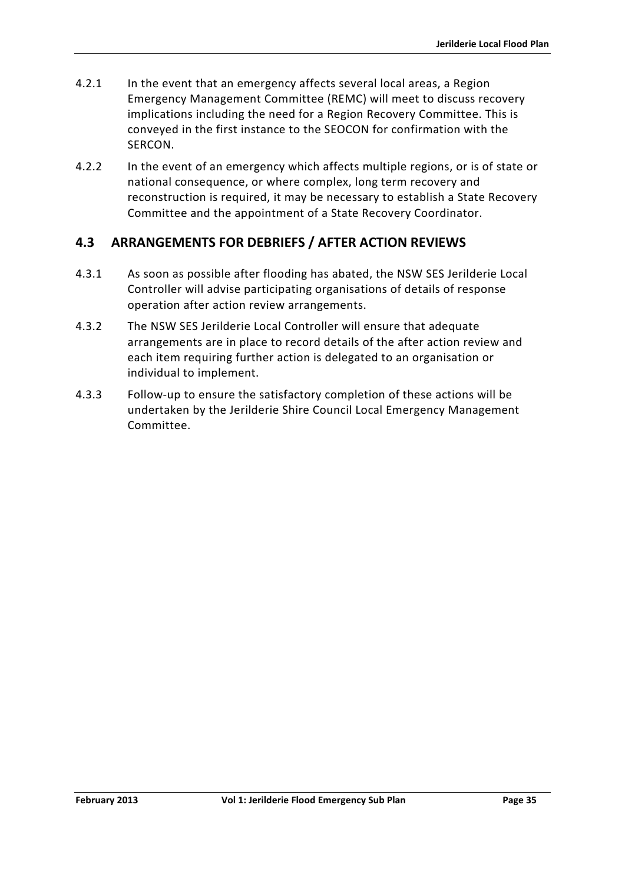- 4.2.1 In the event that an emergency affects several local areas, a Region Emergency Management Committee (REMC) will meet to discuss recovery implications including the need for a Region Recovery Committee. This is conveyed in the first instance to the SEOCON for confirmation with the SERCON.
- 4.2.2 In the event of an emergency which affects multiple regions, or is of state or national consequence, or where complex, long term recovery and reconstruction is required, it may be necessary to establish a State Recovery Committee and the appointment of a State Recovery Coordinator.

# <span id="page-48-0"></span>**4.3 ARRANGEMENTS FOR DEBRIEFS / AFTER ACTION REVIEWS**

- 4.3.1 As soon as possible after flooding has abated, the NSW SES Jerilderie Local Controller will advise participating organisations of details of response operation after action review arrangements.
- 4.3.2 The NSW SES Jerilderie Local Controller will ensure that adequate arrangements are in place to record details of the after action review and each item requiring further action is delegated to an organisation or individual to implement.
- 4.3.3 Follow-up to ensure the satisfactory completion of these actions will be undertaken by the Jerilderie Shire Council Local Emergency Management Committee.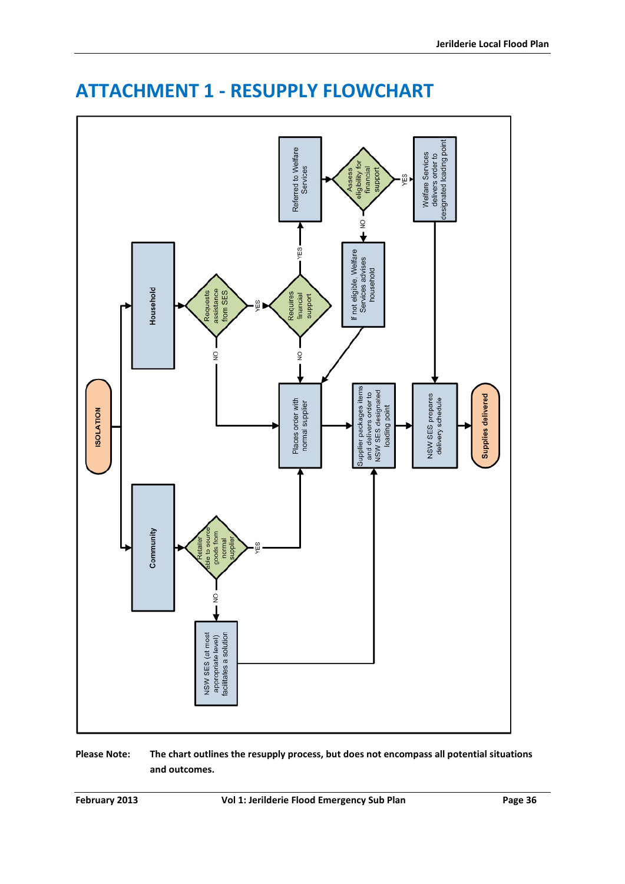

# <span id="page-49-0"></span>**ATTACHMENT 1 - RESUPPLY FLOWCHART**

**Please Note: The chart outlines the resupply process, but does not encompass all potential situations and outcomes.**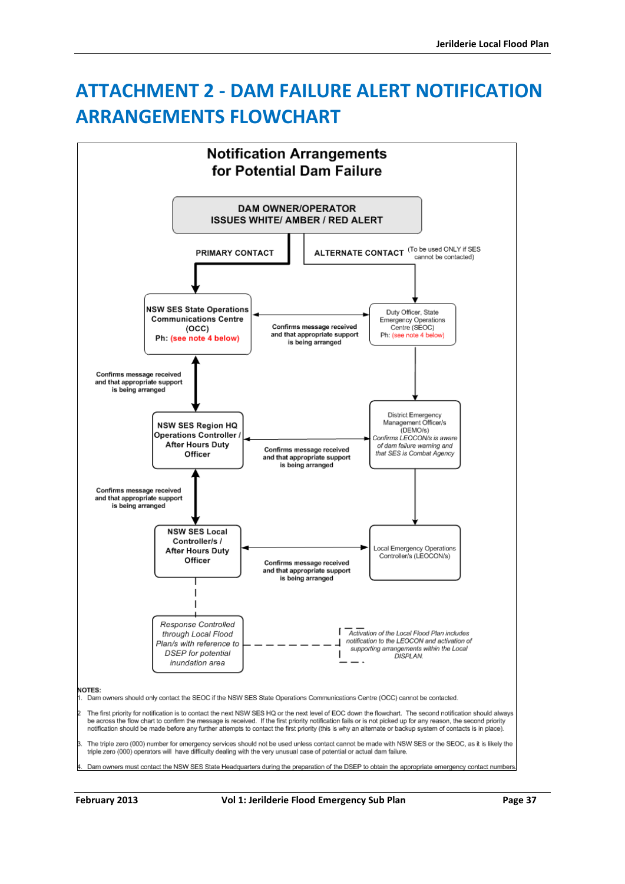# <span id="page-50-0"></span>**ATTACHMENT 2 - DAM FAILURE ALERT NOTIFICATION ARRANGEMENTS FLOWCHART**